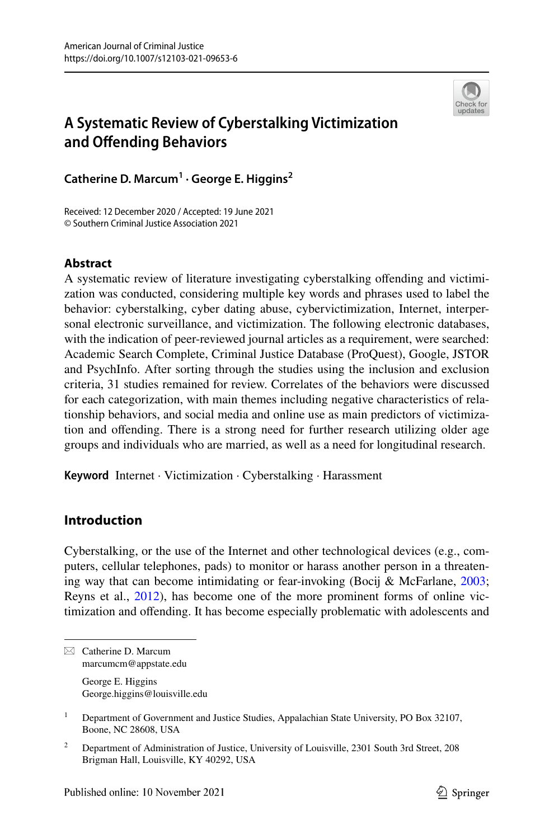

# **A Systematic Review of Cyberstalking Victimization and Ofending Behaviors**

**Catherine D. Marcum1 · George E. Higgins2**

Received: 12 December 2020 / Accepted: 19 June 2021 © Southern Criminal Justice Association 2021

# **Abstract**

A systematic review of literature investigating cyberstalking ofending and victimization was conducted, considering multiple key words and phrases used to label the behavior: cyberstalking, cyber dating abuse, cybervictimization, Internet, interpersonal electronic surveillance, and victimization. The following electronic databases, with the indication of peer-reviewed journal articles as a requirement, were searched: Academic Search Complete, Criminal Justice Database (ProQuest), Google, JSTOR and PsychInfo. After sorting through the studies using the inclusion and exclusion criteria, 31 studies remained for review. Correlates of the behaviors were discussed for each categorization, with main themes including negative characteristics of relationship behaviors, and social media and online use as main predictors of victimization and ofending. There is a strong need for further research utilizing older age groups and individuals who are married, as well as a need for longitudinal research.

**Keyword** Internet · Victimization · Cyberstalking · Harassment

# **Introduction**

Cyberstalking, or the use of the Internet and other technological devices (e.g., computers, cellular telephones, pads) to monitor or harass another person in a threatening way that can become intimidating or fear-invoking (Bocij & McFarlane, [2003;](#page-25-0) Reyns et al., [2012\)](#page-27-0), has become one of the more prominent forms of online victimization and ofending. It has become especially problematic with adolescents and

 $\boxtimes$  Catherine D. Marcum marcumcm@appstate.edu George E. Higgins George.higgins@louisville.edu

<sup>1</sup> Department of Government and Justice Studies, Appalachian State University, PO Box 32107, Boone, NC 28608, USA

<sup>&</sup>lt;sup>2</sup> Department of Administration of Justice, University of Louisville, 2301 South 3rd Street, 208 Brigman Hall, Louisville, KY 40292, USA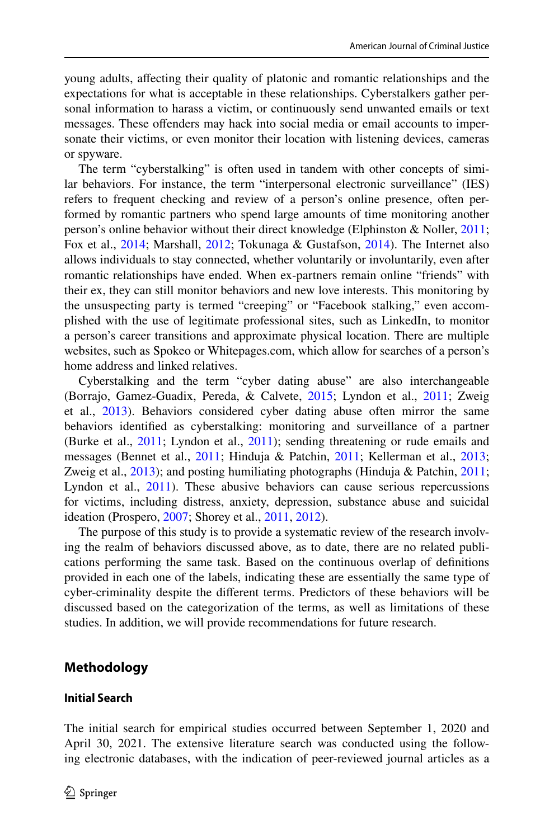young adults, afecting their quality of platonic and romantic relationships and the expectations for what is acceptable in these relationships. Cyberstalkers gather personal information to harass a victim, or continuously send unwanted emails or text messages. These ofenders may hack into social media or email accounts to impersonate their victims, or even monitor their location with listening devices, cameras or spyware.

The term "cyberstalking" is often used in tandem with other concepts of similar behaviors. For instance, the term "interpersonal electronic surveillance" (IES) refers to frequent checking and review of a person's online presence, often performed by romantic partners who spend large amounts of time monitoring another person's online behavior without their direct knowledge (Elphinston & Noller, [2011;](#page-26-0) Fox et al., [2014;](#page-26-1) Marshall, [2012](#page-26-2); Tokunaga & Gustafson, [2014\)](#page-27-1). The Internet also allows individuals to stay connected, whether voluntarily or involuntarily, even after romantic relationships have ended. When ex-partners remain online "friends" with their ex, they can still monitor behaviors and new love interests. This monitoring by the unsuspecting party is termed "creeping" or "Facebook stalking," even accomplished with the use of legitimate professional sites, such as LinkedIn, to monitor a person's career transitions and approximate physical location. There are multiple websites, such as Spokeo or Whitepages.com, which allow for searches of a person's home address and linked relatives.

Cyberstalking and the term "cyber dating abuse" are also interchangeable (Borrajo, Gamez-Guadix, Pereda, & Calvete, [2015](#page-25-1); Lyndon et al., [2011;](#page-26-3) Zweig et al., [2013](#page-28-0)). Behaviors considered cyber dating abuse often mirror the same behaviors identifed as cyberstalking: monitoring and surveillance of a partner (Burke et al., [2011](#page-25-2); Lyndon et al., [2011\)](#page-26-3); sending threatening or rude emails and messages (Bennet et al., [2011](#page-25-3); Hinduja & Patchin, [2011;](#page-26-4) Kellerman et al., [2013;](#page-26-5) Zweig et al., [2013](#page-28-0)); and posting humiliating photographs (Hinduja & Patchin, [2011;](#page-26-4) Lyndon et al.,  $2011$ ). These abusive behaviors can cause serious repercussions for victims, including distress, anxiety, depression, substance abuse and suicidal ideation (Prospero, [2007;](#page-27-2) Shorey et al., [2011,](#page-27-3) [2012\)](#page-27-4).

The purpose of this study is to provide a systematic review of the research involving the realm of behaviors discussed above, as to date, there are no related publications performing the same task. Based on the continuous overlap of defnitions provided in each one of the labels, indicating these are essentially the same type of cyber-criminality despite the diferent terms. Predictors of these behaviors will be discussed based on the categorization of the terms, as well as limitations of these studies. In addition, we will provide recommendations for future research.

# **Methodology**

### **Initial Search**

The initial search for empirical studies occurred between September 1, 2020 and April 30, 2021. The extensive literature search was conducted using the following electronic databases, with the indication of peer-reviewed journal articles as a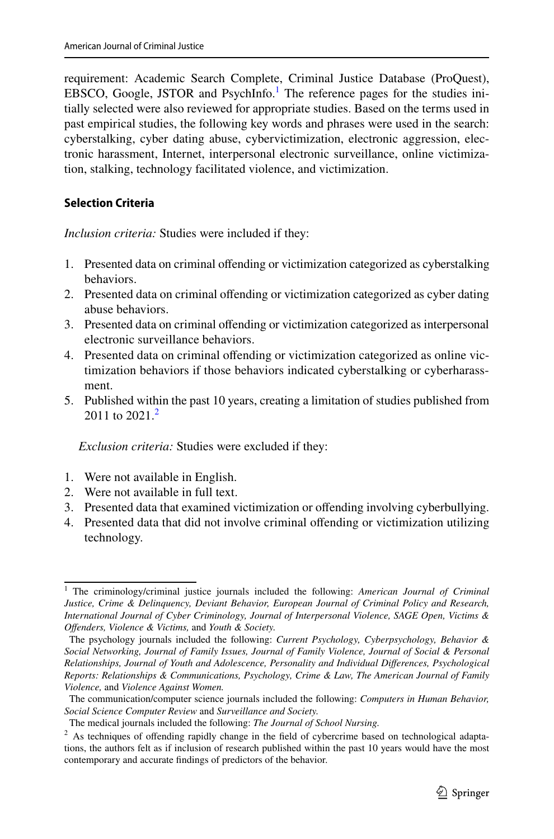requirement: Academic Search Complete, Criminal Justice Database (ProQuest), EBSCO, Google, JSTOR and PsychInfo.<sup>1</sup> The reference pages for the studies initially selected were also reviewed for appropriate studies. Based on the terms used in past empirical studies, the following key words and phrases were used in the search: cyberstalking, cyber dating abuse, cybervictimization, electronic aggression, electronic harassment, Internet, interpersonal electronic surveillance, online victimization, stalking, technology facilitated violence, and victimization.

## **Selection Criteria**

*Inclusion criteria:* Studies were included if they:

- 1. Presented data on criminal ofending or victimization categorized as cyberstalking behaviors.
- 2. Presented data on criminal ofending or victimization categorized as cyber dating abuse behaviors.
- 3. Presented data on criminal ofending or victimization categorized as interpersonal electronic surveillance behaviors.
- 4. Presented data on criminal ofending or victimization categorized as online victimization behaviors if those behaviors indicated cyberstalking or cyberharassment.
- 5. Published within the past 10 years, creating a limitation of studies published from [2](#page-2-1)011 to  $2021<sup>2</sup>$

*Exclusion criteria:* Studies were excluded if they:

- 1. Were not available in English.
- 2. Were not available in full text.
- 3. Presented data that examined victimization or ofending involving cyberbullying.
- 4. Presented data that did not involve criminal ofending or victimization utilizing technology.

<span id="page-2-0"></span><sup>1</sup> The criminology/criminal justice journals included the following: *American Journal of Criminal Justice, Crime & Delinquency, Deviant Behavior, European Journal of Criminal Policy and Research, International Journal of Cyber Criminology, Journal of Interpersonal Violence, SAGE Open, Victims & Ofenders, Violence & Victims,* and *Youth & Society.*

The psychology journals included the following: *Current Psychology, Cyberpsychology, Behavior & Social Networking, Journal of Family Issues, Journal of Family Violence, Journal of Social & Personal Relationships, Journal of Youth and Adolescence, Personality and Individual Diferences, Psychological Reports: Relationships & Communications, Psychology, Crime & Law, The American Journal of Family Violence,* and *Violence Against Women.*

The communication/computer science journals included the following: *Computers in Human Behavior, Social Science Computer Review* and *Surveillance and Society.*

The medical journals included the following: *The Journal of School Nursing.*

<span id="page-2-1"></span><sup>&</sup>lt;sup>2</sup> As techniques of offending rapidly change in the field of cybercrime based on technological adaptations, the authors felt as if inclusion of research published within the past 10 years would have the most contemporary and accurate fndings of predictors of the behavior.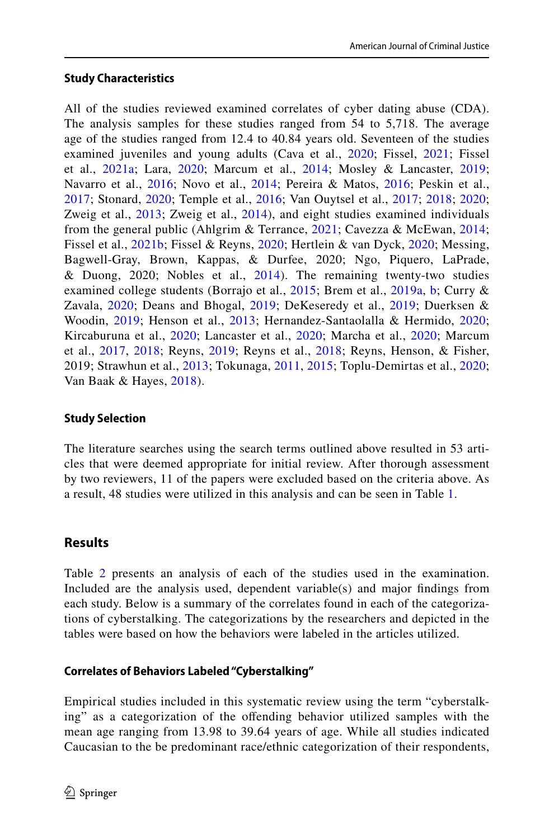### **Study Characteristics**

All of the studies reviewed examined correlates of cyber dating abuse (CDA). The analysis samples for these studies ranged from 54 to 5,718. The average age of the studies ranged from 12.4 to 40.84 years old. Seventeen of the studies examined juveniles and young adults (Cava et al., [2020;](#page-25-4) Fissel, [2021;](#page-26-6) Fissel et al., [2021a;](#page-26-7) Lara, [2020;](#page-26-8) Marcum et al., [2014;](#page-26-9) Mosley & Lancaster, [2019;](#page-26-10) Navarro et al., [2016;](#page-27-6) Novo et al., [2014;](#page-27-5) Pereira & Matos, 2016; Peskin et al., [2017;](#page-27-7) Stonard, [2020](#page-27-8); Temple et al., [2016;](#page-27-9) Van Ouytsel et al., [2017](#page-28-1); [2018;](#page-28-2) [2020;](#page-28-3) Zweig et al., [2013](#page-28-0); Zweig et al., [2014](#page-28-4)), and eight studies examined individuals from the general public (Ahlgrim & Terrance, [2021](#page-25-5); Cavezza & McEwan, [2014;](#page-25-6) Fissel et al., [2021b](#page-26-12); Fissel & Reyns, [2020](#page-26-13); Hertlein & van Dyck, [2020;](#page-26-14) Messing, Bagwell-Gray, Brown, Kappas, & Durfee, 2020; Ngo, Piquero, LaPrade, & Duong, 2020; Nobles et al., [2014\)](#page-27-10). The remaining twenty-two studies examined college students (Borrajo et al., [2015](#page-25-1); Brem et al., [2019a,](#page-25-7) [b;](#page-25-8) Curry & Zavala, [2020](#page-25-9); Deans and Bhogal, [2019](#page-25-10); DeKeseredy et al., [2019;](#page-25-11) Duerksen & Woodin, [2019](#page-26-15); Henson et al., [2013;](#page-26-16) Hernandez-Santaolalla & Hermido, [2020;](#page-26-17) Kircaburuna et al., [2020;](#page-26-18) Lancaster et al., [2020;](#page-26-19) Marcha et al., [2020;](#page-26-20) Marcum et al., [2017,](#page-26-21) [2018;](#page-26-22) Reyns, [2019;](#page-27-11) Reyns et al., [2018](#page-27-12); Reyns, Henson, & Fisher, 2019; Strawhun et al., [2013;](#page-27-13) Tokunaga, [2011](#page-27-14), [2015;](#page-27-15) Toplu-Demirtas et al., [2020;](#page-27-16) Van Baak & Hayes, [2018](#page-27-17)).

# **Study Selection**

The literature searches using the search terms outlined above resulted in 53 articles that were deemed appropriate for initial review. After thorough assessment by two reviewers, 11 of the papers were excluded based on the criteria above. As a result, 48 studies were utilized in this analysis and can be seen in Table [1](#page-4-0).

# **Results**

Table [2](#page-7-0) presents an analysis of each of the studies used in the examination. Included are the analysis used, dependent variable(s) and major fndings from each study. Below is a summary of the correlates found in each of the categorizations of cyberstalking. The categorizations by the researchers and depicted in the tables were based on how the behaviors were labeled in the articles utilized.

### **Correlates of Behaviors Labeled "Cyberstalking"**

Empirical studies included in this systematic review using the term "cyberstalking" as a categorization of the ofending behavior utilized samples with the mean age ranging from 13.98 to 39.64 years of age. While all studies indicated Caucasian to the be predominant race/ethnic categorization of their respondents,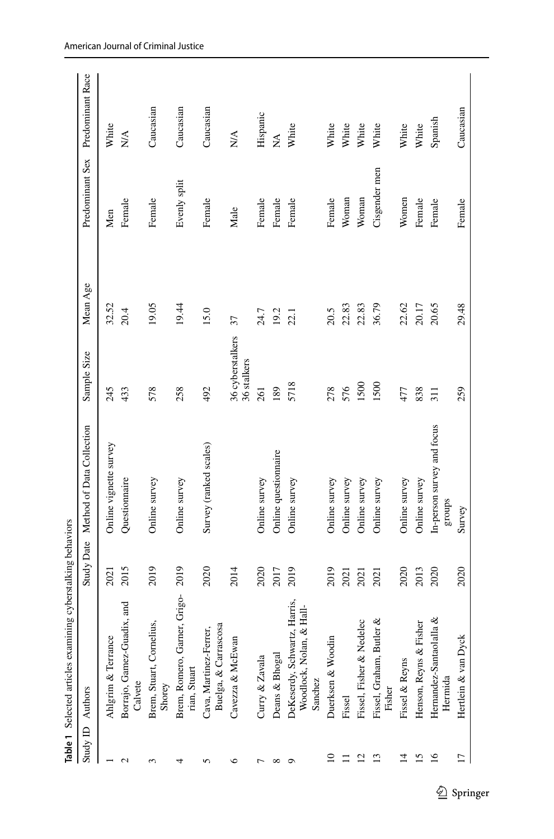|                  | Table 1 Selected articles examini                                         | ing cyberstalking behaviors |                                      |                                 |          |                 |                                          |
|------------------|---------------------------------------------------------------------------|-----------------------------|--------------------------------------|---------------------------------|----------|-----------------|------------------------------------------|
| Study ID Authors |                                                                           |                             | Study Date Method of Data Collection | Sample Size                     | Mean Age | Predominant Sex | Predominant Race                         |
|                  | Ahlgrim & Terrance                                                        | 2021                        | Online vignette survey               | 245                             | 32.52    | Men             | White                                    |
| 2                | Borrajo, Gamez-Guadix, and<br>Calvete                                     | 2015                        | Questionnaire                        | 433                             | 20.4     | Female          | $\stackrel{\triangle}{\scriptstyle\sim}$ |
| 3                | Brem, Stuart, Cornelius,<br>Shorey                                        | 2019                        | Online survey                        | 578                             | 19.05    | Female          | Caucasian                                |
| 4                | Brem, Romero, Garner, Grigo-<br>rian, Stuart                              | 2019                        | Online survey                        | 258                             | 19.44    | Evenly split    | Caucasian                                |
| n                | Buelga, & Carrascosa<br>Cava, Martinez-Ferrer,                            | 2020                        | Survey (ranked scales)               | 492                             | 15.0     | Female          | Caucasian                                |
| ७                | Cavezza & McEwan                                                          | 2014                        |                                      | 36 cyberstalkers<br>36 stalkers | 37       | Male            | N/A                                      |
|                  | Curry & Zavala                                                            | 2020                        | Online survey                        | 261                             | 24.7     | Female          | Hispanic                                 |
|                  | Deans & Bhogal                                                            | 2017                        | Online questionnaire                 | 189                             | 19.2     | Female          | $\lesssim$                               |
|                  | Harris,<br>Hall-<br>DeKeserdy, Schwartz,<br>Woodlock, Nolan, &<br>Sanchez | 2019                        | Online survey                        | 5718                            | 22.1     | Female          | White                                    |
| $\mathsf{D}$     | Duerksen & Woodin                                                         | 2019                        | Online survey                        | 278                             | 20.5     | Female          | White                                    |
|                  | Fissel                                                                    | 2021                        | Online survey                        | 576                             | 22.83    | Woman           | White                                    |
| $\Xi$            | Fissel, Fisher & Nedelec                                                  | 2021                        | Online survey                        | 1500                            | 22.83    | Woman           | White                                    |
| $\Xi$            | ళ<br>Fissel, Graham, Butler<br>Fisher                                     | 2021                        | Online survey                        | 1500                            | 36.79    | Cisgender men   | White                                    |
| 14               | Fissel & Reyns                                                            | 2020                        | Online survey                        | 477                             | 22.62    | Women           | White                                    |
| 15               | Henson, Reyns & Fisher                                                    | 2013                        | Online survey                        | 838                             | 20.17    | Female          | White                                    |
| 16               | ূ<br>Hernandez-Santaolalla<br>Hermida                                     | 2020                        | In-person survey and focus<br>groups | 311                             | 20.65    | Female          | Spanish                                  |
| 17               | Hertlein & van Dyck                                                       | 2020                        | Survey                               | 259                             | 29.48    | Female          | Caucasian                                |

<span id="page-4-0"></span> $\underline{\textcircled{\tiny 2}}$  Springer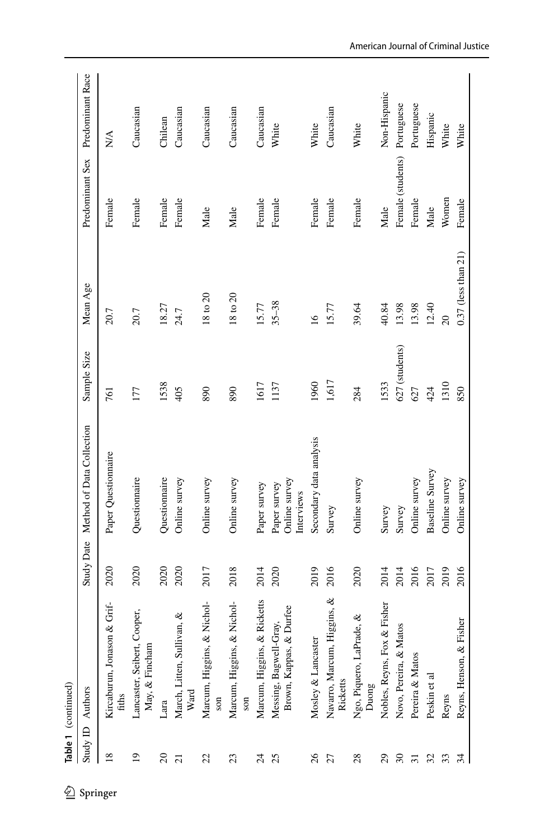| Female (students) Portuguese<br>$\frac{1}{2}$<br>Predominant Sex<br>Women<br>Female<br>Female<br>Female<br>Female<br>Female<br>Female<br>Female<br>Female<br>Female<br>Female<br>Female<br>Male<br>Male<br>Male<br>Male<br>$0.37$ (less than $21$ )<br>Mean Age<br>18 to 20<br>$18 \text{ to } 20$<br>$35 - 38$<br>15.77<br>12.40<br>18.27<br>15.77<br>39.64<br>13.98<br>40.84<br>13.98<br>24.7<br>20.7<br>20.7<br>20<br>$\overline{16}$<br>627 (students)<br>Sample Size<br>1,617<br>1960<br>1538<br>1533<br>1617<br>1310<br>1137<br>890<br>284<br>424<br>850<br>405<br>890<br>177<br>627<br>761<br>Study Date Method of Data Collection<br>Secondary data analysis<br>Paper Questionnaire<br>Baseline Survey<br>Questionnaire<br>Questionnaire<br>Online survey<br>Online survey<br>Online survey<br>Online survey<br>Online survey<br>Online survey<br>Online survey<br>Online survey<br>Paper survey<br>Paper survey<br>Interviews<br>Survey<br>Survey<br>Survey<br>2020<br>2018<br>2019<br>2020<br>2020<br>2017<br>2014<br>2016<br>2020<br>2014<br>2014<br>2016<br>2019<br>2016<br>2020<br>2020<br>2017<br>ggins, &<br>Ricketts<br>Nichol-<br>Nichol-<br>$\&$ Grif-<br>Fisher<br>Messing, Bagwell-Gray,<br>Brown, Kappas, & Durfee<br>Lancaster, Seibert, Cooper,<br>March, Litten, Sullivan, &<br>Ngo, Piquero, LaPrade, &<br>Reyns, Henson, & Fisher<br>Novo, Pereira, & Matos<br>Nobles, Reyns, Fox &<br>Kircaburun, Jonason<br>Navarro, Marcum, Hi<br>Marcum, Higgins, &<br>Marcum, Higgins, &<br>Marcum, Higgins, &<br>Mosley & Lancaster<br>May, & Fincham<br>Pereira & Matos<br>Peskin et al<br>Ricketts<br>Duong<br>Study ID Authors<br>Ward<br>fiths<br>Reyns<br>son<br>son<br>Lara<br>$\frac{8}{2}$<br>$\overline{19}$<br>$\Omega$<br>22<br>$\frac{26}{5}$<br>$\boldsymbol{\mathcal{E}}$<br>23<br>25<br>27<br>$^{28}$<br>29<br>32<br>33<br>34<br>$\overline{c}$<br>$\overline{\mathcal{L}}$<br>$\overline{31}$<br>Springer | � | Table 1 (continued) |  |  |  |                  |
|-------------------------------------------------------------------------------------------------------------------------------------------------------------------------------------------------------------------------------------------------------------------------------------------------------------------------------------------------------------------------------------------------------------------------------------------------------------------------------------------------------------------------------------------------------------------------------------------------------------------------------------------------------------------------------------------------------------------------------------------------------------------------------------------------------------------------------------------------------------------------------------------------------------------------------------------------------------------------------------------------------------------------------------------------------------------------------------------------------------------------------------------------------------------------------------------------------------------------------------------------------------------------------------------------------------------------------------------------------------------------------------------------------------------------------------------------------------------------------------------------------------------------------------------------------------------------------------------------------------------------------------------------------------------------------------------------------------------------------------------------------------------------------------------------------------------------------------------------------------------------------------------------------------------------------------------|---|---------------------|--|--|--|------------------|
|                                                                                                                                                                                                                                                                                                                                                                                                                                                                                                                                                                                                                                                                                                                                                                                                                                                                                                                                                                                                                                                                                                                                                                                                                                                                                                                                                                                                                                                                                                                                                                                                                                                                                                                                                                                                                                                                                                                                           |   |                     |  |  |  | Predominant Race |
|                                                                                                                                                                                                                                                                                                                                                                                                                                                                                                                                                                                                                                                                                                                                                                                                                                                                                                                                                                                                                                                                                                                                                                                                                                                                                                                                                                                                                                                                                                                                                                                                                                                                                                                                                                                                                                                                                                                                           |   |                     |  |  |  |                  |
|                                                                                                                                                                                                                                                                                                                                                                                                                                                                                                                                                                                                                                                                                                                                                                                                                                                                                                                                                                                                                                                                                                                                                                                                                                                                                                                                                                                                                                                                                                                                                                                                                                                                                                                                                                                                                                                                                                                                           |   |                     |  |  |  | Caucasian        |
|                                                                                                                                                                                                                                                                                                                                                                                                                                                                                                                                                                                                                                                                                                                                                                                                                                                                                                                                                                                                                                                                                                                                                                                                                                                                                                                                                                                                                                                                                                                                                                                                                                                                                                                                                                                                                                                                                                                                           |   |                     |  |  |  | Chilean          |
|                                                                                                                                                                                                                                                                                                                                                                                                                                                                                                                                                                                                                                                                                                                                                                                                                                                                                                                                                                                                                                                                                                                                                                                                                                                                                                                                                                                                                                                                                                                                                                                                                                                                                                                                                                                                                                                                                                                                           |   |                     |  |  |  | Caucasian        |
|                                                                                                                                                                                                                                                                                                                                                                                                                                                                                                                                                                                                                                                                                                                                                                                                                                                                                                                                                                                                                                                                                                                                                                                                                                                                                                                                                                                                                                                                                                                                                                                                                                                                                                                                                                                                                                                                                                                                           |   |                     |  |  |  | Caucasian        |
|                                                                                                                                                                                                                                                                                                                                                                                                                                                                                                                                                                                                                                                                                                                                                                                                                                                                                                                                                                                                                                                                                                                                                                                                                                                                                                                                                                                                                                                                                                                                                                                                                                                                                                                                                                                                                                                                                                                                           |   |                     |  |  |  | Caucasian        |
|                                                                                                                                                                                                                                                                                                                                                                                                                                                                                                                                                                                                                                                                                                                                                                                                                                                                                                                                                                                                                                                                                                                                                                                                                                                                                                                                                                                                                                                                                                                                                                                                                                                                                                                                                                                                                                                                                                                                           |   |                     |  |  |  | Caucasian        |
|                                                                                                                                                                                                                                                                                                                                                                                                                                                                                                                                                                                                                                                                                                                                                                                                                                                                                                                                                                                                                                                                                                                                                                                                                                                                                                                                                                                                                                                                                                                                                                                                                                                                                                                                                                                                                                                                                                                                           |   |                     |  |  |  | White            |
|                                                                                                                                                                                                                                                                                                                                                                                                                                                                                                                                                                                                                                                                                                                                                                                                                                                                                                                                                                                                                                                                                                                                                                                                                                                                                                                                                                                                                                                                                                                                                                                                                                                                                                                                                                                                                                                                                                                                           |   |                     |  |  |  | White            |
|                                                                                                                                                                                                                                                                                                                                                                                                                                                                                                                                                                                                                                                                                                                                                                                                                                                                                                                                                                                                                                                                                                                                                                                                                                                                                                                                                                                                                                                                                                                                                                                                                                                                                                                                                                                                                                                                                                                                           |   |                     |  |  |  | Caucasian        |
|                                                                                                                                                                                                                                                                                                                                                                                                                                                                                                                                                                                                                                                                                                                                                                                                                                                                                                                                                                                                                                                                                                                                                                                                                                                                                                                                                                                                                                                                                                                                                                                                                                                                                                                                                                                                                                                                                                                                           |   |                     |  |  |  | White            |
|                                                                                                                                                                                                                                                                                                                                                                                                                                                                                                                                                                                                                                                                                                                                                                                                                                                                                                                                                                                                                                                                                                                                                                                                                                                                                                                                                                                                                                                                                                                                                                                                                                                                                                                                                                                                                                                                                                                                           |   |                     |  |  |  | Non-Hispanic     |
|                                                                                                                                                                                                                                                                                                                                                                                                                                                                                                                                                                                                                                                                                                                                                                                                                                                                                                                                                                                                                                                                                                                                                                                                                                                                                                                                                                                                                                                                                                                                                                                                                                                                                                                                                                                                                                                                                                                                           |   |                     |  |  |  |                  |
|                                                                                                                                                                                                                                                                                                                                                                                                                                                                                                                                                                                                                                                                                                                                                                                                                                                                                                                                                                                                                                                                                                                                                                                                                                                                                                                                                                                                                                                                                                                                                                                                                                                                                                                                                                                                                                                                                                                                           |   |                     |  |  |  | Portuguese       |
|                                                                                                                                                                                                                                                                                                                                                                                                                                                                                                                                                                                                                                                                                                                                                                                                                                                                                                                                                                                                                                                                                                                                                                                                                                                                                                                                                                                                                                                                                                                                                                                                                                                                                                                                                                                                                                                                                                                                           |   |                     |  |  |  | Hispanic         |
|                                                                                                                                                                                                                                                                                                                                                                                                                                                                                                                                                                                                                                                                                                                                                                                                                                                                                                                                                                                                                                                                                                                                                                                                                                                                                                                                                                                                                                                                                                                                                                                                                                                                                                                                                                                                                                                                                                                                           |   |                     |  |  |  | White            |
|                                                                                                                                                                                                                                                                                                                                                                                                                                                                                                                                                                                                                                                                                                                                                                                                                                                                                                                                                                                                                                                                                                                                                                                                                                                                                                                                                                                                                                                                                                                                                                                                                                                                                                                                                                                                                                                                                                                                           |   |                     |  |  |  | White            |

#### American Journal of Criminal Justice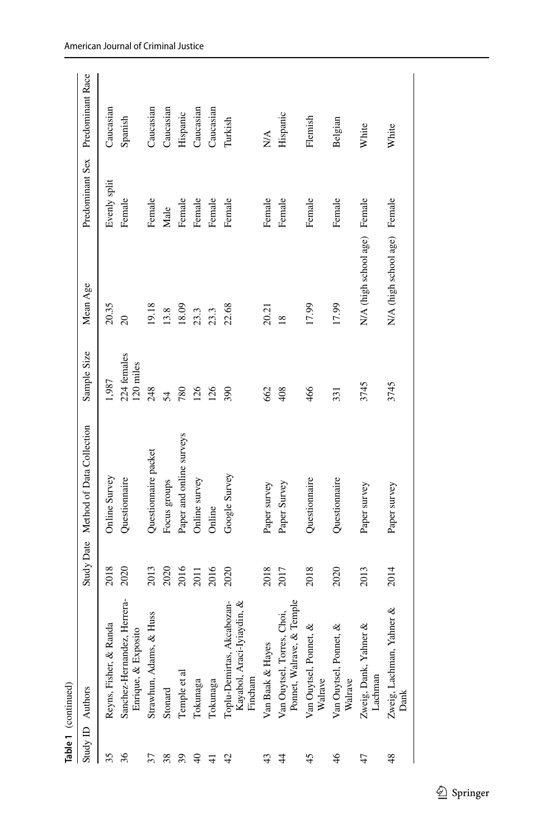|                | Table 1 (continued)                                                 |      |                                      |                          |                              |                 |                  |
|----------------|---------------------------------------------------------------------|------|--------------------------------------|--------------------------|------------------------------|-----------------|------------------|
|                | Study ID Authors                                                    |      | Study Date Method of Data Collection | Sample Size              | Mean Age                     | Predominant Sex | Predominant Race |
| 35             | Reyns, Fisher, & Randa                                              | 2018 | Online Survey                        | 1,987                    | 20.35                        | Evenly split    | Caucasian        |
| 36             | Sanchez-Hernandez, Herrera-<br>Enrique, & Exposito                  | 2020 | Questionnaire                        | 224 females<br>120 miles | $\infty$                     | Female          | Spanish          |
| 37             | Huss<br>Strawhun, Adams, & 1                                        | 2013 | Questionnaire packet                 | 248                      | 19.18                        | Female          | Caucasian        |
| 38             | Stonard                                                             | 2020 | Focus groups                         | 54                       | 13.8                         | Male            | Caucasian        |
| 39             | Temple et al                                                        | 2016 | Paper and online surveys             | 780                      | 18.09                        | Female          | Hispanic         |
| $\Theta$       | Tokunaga                                                            | 2011 | Online survey                        | 126                      | 23.3                         | Female          | Caucasian        |
| $\frac{1}{4}$  | Tokunaga                                                            | 2016 | Online                               | 126                      | 23.3                         | Female          | Caucasian        |
| $\overline{4}$ | Toplu-Demirtas, Akcabozan-<br>Kayabol, Araci-Iyiaydin, &<br>Fincham | 2020 | Google Survey                        | 390                      | 22.68                        | Female          | Turkish          |
| 43             | Van Baak & Hayes                                                    | 2018 | Paper survey                         | 662                      | 20.21                        | Female          | $\sum_{i=1}^{n}$ |
| $\ddot{4}$     | Temple<br>Choi,<br>Ponnet, Walrave, &<br>Van Ouytsel, Torres,       | 2017 | Paper Survey                         | 408                      | $\frac{8}{2}$                | Female          | Hispanic         |
| 45             | Van Ouytsel, Ponnet, &<br>Walrave                                   | 2018 | Questionnaire                        | 466                      | 17.99                        | Female          | Flemish          |
| $\frac{4}{6}$  | Van Ouytsel, Ponnet, &<br>Walrave                                   | 2020 | Questionnaire                        | 331                      | 17.99                        | Female          | Belgian          |
| 47             | Zweig, Dank, Yahner &<br>Lachman                                    | 2013 | Paper survey                         | 3745                     | N/A (high school age) Female |                 | White            |
| 48             | Zweig, Lachman, Yahner &<br>Dank                                    | 2014 | Paper survey                         | 3745                     | N/A (high school age) Female |                 | White            |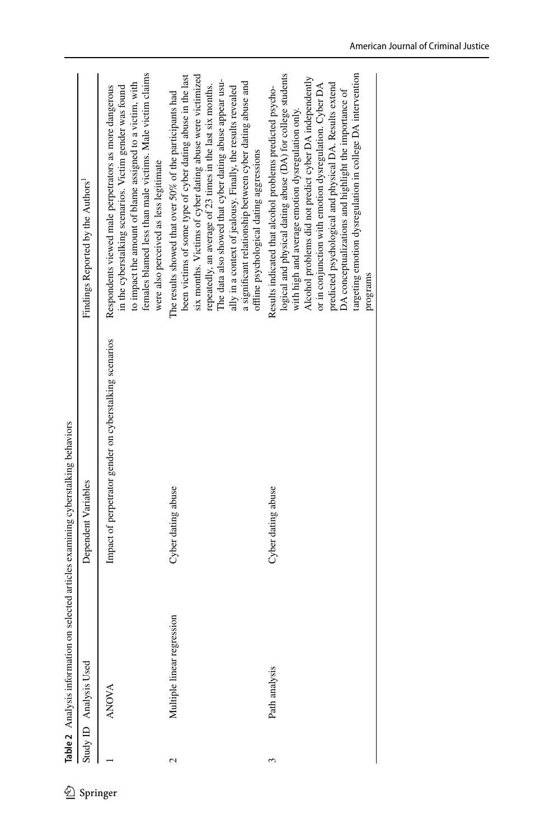|   |                            | Table 2 Analysis information on selected articles examining cyberstalking behaviors |                                                                                                                                                                                                                                                                                                                                                                                                                                                                                         |
|---|----------------------------|-------------------------------------------------------------------------------------|-----------------------------------------------------------------------------------------------------------------------------------------------------------------------------------------------------------------------------------------------------------------------------------------------------------------------------------------------------------------------------------------------------------------------------------------------------------------------------------------|
|   | Study ID Analysis Used     | Dependent Variables                                                                 | Findings Reported by the Authors'                                                                                                                                                                                                                                                                                                                                                                                                                                                       |
|   | <b>ANOVA</b>               | Impact of perpetrator gender on cyberstalking scenarios                             | females blamed less than male victims. Male victim claims<br>to impact the amount of blame assigned to a victim, with<br>in the cyberstalking scenarios. Victim gender was found<br>Respondents viewed male perpetrators as more dangerous<br>were also perceived as less legitimate                                                                                                                                                                                                    |
| Ν | Multiple linear regression | Cyber dating abuse                                                                  | been victims of some type of cyber dating abuse in the last<br>six months. Victims of cyber dating abuse were victimized<br>The data also showed that cyber dating abuse appear usu-<br>a significant relationship between cyber dating abuse and<br>repeatedly, an average of 23 times in the last six months.<br>ally in a context of jealousy. Finally, the results revealed<br>The results showed that over 50% of the participants had<br>offline psychological dating aggressions |
| 3 | Path analysis              | Cyber dating abuse                                                                  | logical and physical dating abuse (DA) for college students<br>targeting emotion dysregulation in college DA intervention<br>Alcohol problems did not predict cyber DA independently<br>predicted psychological and physical DA. Results extend<br>or in conjunction with emotion dysregulation. Cyber DA<br>Results indicated that alcohol problems predicted psycho-<br>DA conceptualizations and highlight the importance of<br>with high and average emotion dysregulation only.    |
|   |                            |                                                                                     | programs                                                                                                                                                                                                                                                                                                                                                                                                                                                                                |

<span id="page-7-0"></span>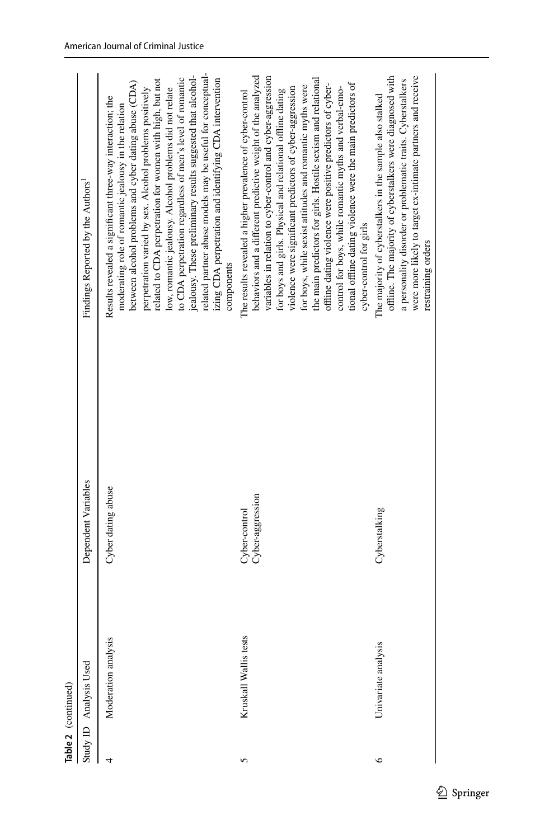| Table 2 (continued) |                        |                                   |                                                                                                                                                                                                                                                                                                                                                                                                                                                                                                                                                                                                                                                                |
|---------------------|------------------------|-----------------------------------|----------------------------------------------------------------------------------------------------------------------------------------------------------------------------------------------------------------------------------------------------------------------------------------------------------------------------------------------------------------------------------------------------------------------------------------------------------------------------------------------------------------------------------------------------------------------------------------------------------------------------------------------------------------|
|                     | Study ID Analysis Used | Dependent Variables               | Findings Reported by the Authors'                                                                                                                                                                                                                                                                                                                                                                                                                                                                                                                                                                                                                              |
|                     | Moderation analysis    | Cyber dating abuse                | related partner abuse models may be useful for conceptual-<br>jealousy. These preliminary results suggested that alcohol-<br>to CDA perpetration regardless of men's level of romantic<br>izing CDA perpetration and identifying CDA intervention<br>related to CDA perpetration for women with high, but not<br>between alcohol problems and cyber dating abuse (CDA)<br>perpetration varied by sex. Alcohol problems positively<br>low, romantic jealousy. Alcohol problems did not relate<br>Results revealed a significant three-way interaction; the<br>moderating role of romantic jealousy in the relation<br>components                                |
| 5                   | Kruskall Wallis tests  | Cyber-aggression<br>Cyber-control | behaviors and a different predictive weight of the analyzed<br>variables in relation to cyber-control and cyber-aggression<br>the main predictors for girls. Hostile sexism and relational<br>tional offline dating violence were the main predictors of<br>offline dating violence were positive predictors of cyber-<br>for boys, while sexist attitudes and romantic myths were<br>violence were significant predictors of cyber-aggression<br>control for boys, while romantic myths and verbal-emo-<br>for boys and girls. Physical and relational offline dating<br>The results revealed a higher prevalence of cyber-control<br>cyber-control for girls |
| $\circ$             | Univariate analysis    | Cyberstalking                     | offline. The majority of cyberstalkers were diagnosed with<br>were more likely to target ex-intimate partners and receive<br>a personality disorder or problematic traits. Cyberstalkers<br>The majority of cyberstalkers in the sample also stalked<br>restraining orders                                                                                                                                                                                                                                                                                                                                                                                     |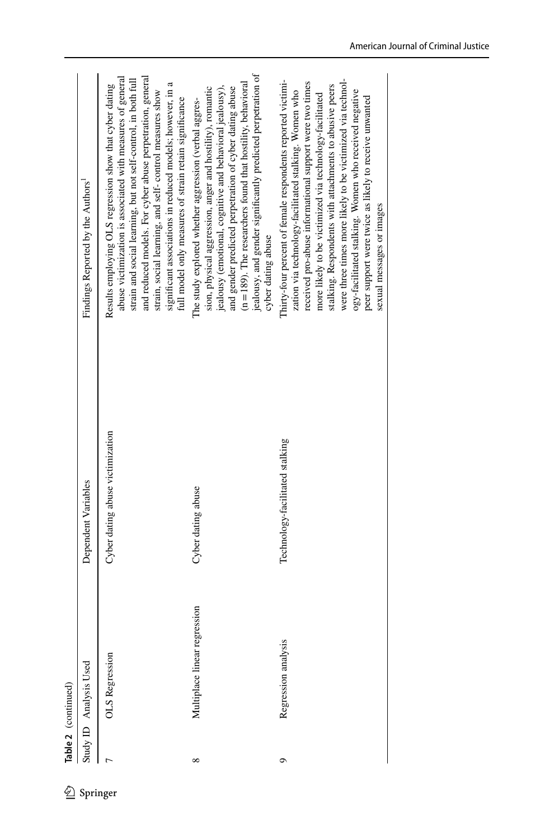| ⇙        |          | Table 2 (continued)          |                                  |                                                                                                                                                                                                                                                                                                                                                                                                                                                                                                                    |
|----------|----------|------------------------------|----------------------------------|--------------------------------------------------------------------------------------------------------------------------------------------------------------------------------------------------------------------------------------------------------------------------------------------------------------------------------------------------------------------------------------------------------------------------------------------------------------------------------------------------------------------|
|          |          | Study ID Analysis Used       | Dependent Variables              | Findings Reported by the Authors'                                                                                                                                                                                                                                                                                                                                                                                                                                                                                  |
| Springer |          | OLS Regression               | Cyber dating abuse victimization | and reduced models. For cyber abuse perpetration, general<br>abuse victimization is associated with measures of general<br>strain and social learning, but not self-control, in both full<br>significant associations in reduced models; however, in a<br>Results employing OLS regression show that cyber dating<br>strain, social learning, and self-control measures show<br>full model only measures of strain retain significance                                                                             |
|          | $\infty$ | Multiplace linear regression | Cyber dating abuse               | jealousy, and gender significantly predicted perpetration of<br>$(n = 189)$ . The researchers found that hostility, behavioral<br>sion, physical aggression, anger and hostility), romantic<br>and gender predicted perpetration of cyber dating abuse<br>jealousy (emotional, cognitive and behavioral jealousy),<br>The study explored whether aggression (verbal aggres-<br>cyber dating abuse                                                                                                                  |
|          | ٥        | Regression analysis          | Technology-facilitated stalking  | were three times more likely to be victimized via technol-<br>Thirty-four percent of female respondents reported victimi-<br>received pro-abuse informational support were two times<br>stalking. Respondents with attachments to abusive peers<br>zation via technology-facilitated stalking. Women who<br>ogy-facilitated stalking. Women who received negative<br>more likely to be victimized via technology-facilitated<br>peer support were twice as likely to receive unwanted<br>sexual messages or images |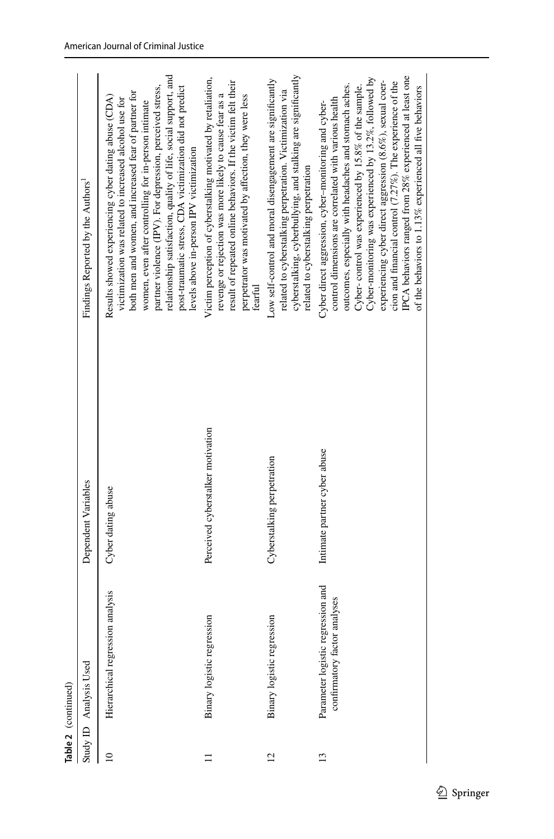| Table 2 (continued) |                                                                   |                                   |                                                                                                                                                                                                                                                                                                                                                                                                                                                                                                                                             |
|---------------------|-------------------------------------------------------------------|-----------------------------------|---------------------------------------------------------------------------------------------------------------------------------------------------------------------------------------------------------------------------------------------------------------------------------------------------------------------------------------------------------------------------------------------------------------------------------------------------------------------------------------------------------------------------------------------|
|                     | Study ID Analysis Used                                            | Dependent Variables               | Findings Reported by the Authors'                                                                                                                                                                                                                                                                                                                                                                                                                                                                                                           |
| $\Xi$               | Hierarchical regression analysis                                  | Cyber dating abuse                | relationship satisfaction, quality of life, social support, and<br>partner violence (IPV). For depression, perceived stress,<br>post-traumatic stress, CDA victimization did not predict<br>both men and women, and increased fear of partner for<br>Results showed experiencing cyber dating abuse (CDA)<br>victimization was related to increased alcohol use for<br>women, even after controlling for in-person intimate<br>levels above in-person IPV victimization                                                                     |
|                     | Binary logistic regression                                        | Perceived cyberstalker motivation | Victim perception of cyberstalking motivated by retaliation,<br>result of repeated online behaviors. If the victim felt their<br>revenge or rejection was more likely to cause fear as a<br>perpetrator was motivated by affection, they were less<br>fearful                                                                                                                                                                                                                                                                               |
| 12                  | Binary logistic regression                                        | Cyberstalking perpetration        | cyberstalking, cyberbullying, and stalking are significantly<br>Low self-control and moral disengagement are significantly<br>related to cyberstalking perpetration. Victimization via<br>related to cyberstalking perpetration                                                                                                                                                                                                                                                                                                             |
| $\overline{13}$     | Parameter logistic regression and<br>confirmatory factor analyses | Intimate partner cyber abuse      | IPCA behaviors ranged from 28% experienced at least one<br>Cyber-monitoring was experienced by 13.2%, followed by<br>experiencing cyber direct aggression (8.6%), sexual coer-<br>cion and financial control (7.27%). The experience of the<br>Cyber-control was experienced by 15.8% of the sample.<br>outcomes, especially with headaches and stomach aches.<br>of the behaviors to 1.13% experienced all five behaviors<br>control dimensions are correlated with various health<br>Cyber direct aggression, cyber-monitoring and cyber- |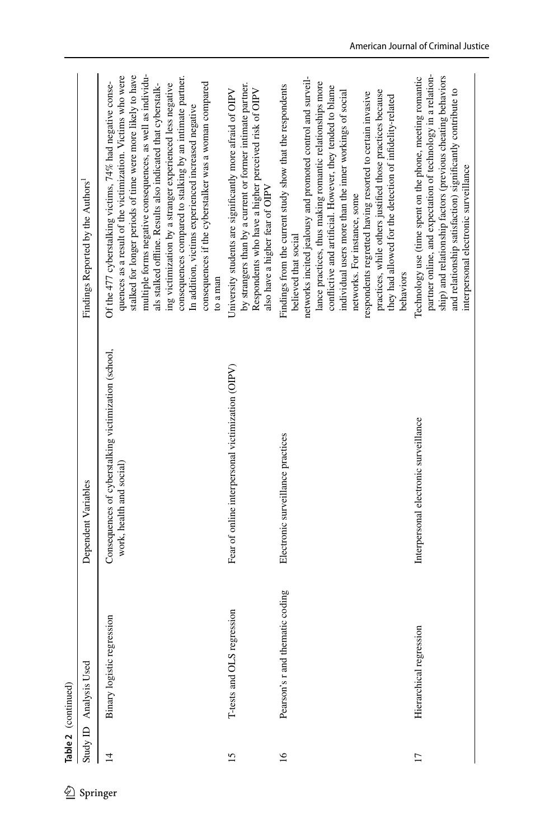| 公        |                 | Table 2 (continued)             |                                                                                  |                                                                                                                                                                                                                                                                                                                                                                                                                                                                                                                                                                               |
|----------|-----------------|---------------------------------|----------------------------------------------------------------------------------|-------------------------------------------------------------------------------------------------------------------------------------------------------------------------------------------------------------------------------------------------------------------------------------------------------------------------------------------------------------------------------------------------------------------------------------------------------------------------------------------------------------------------------------------------------------------------------|
| Springer | Study ID        | Analysis Used                   | Dependent Variables                                                              | Findings Reported by the Authors <sup>1</sup>                                                                                                                                                                                                                                                                                                                                                                                                                                                                                                                                 |
|          | $\overline{1}$  | Binary logistic regression      | Consequences of cyberstalking victimization (school,<br>work, health and social) | multiple forms negative consequences, as well as individu-<br>stalked for longer periods of time were more likely to have<br>quences as a result of the victimization. Victims who were<br>consequences compared to stalking by an intimate partner.<br>Of the 477 cyberstalking victims, $74\%$ had negative conse-<br>consequences if the cyberstalker was a woman compared<br>als stalked offline. Results also indicated that cyberstalk-<br>ing victimization by a stranger experienced less negative<br>In addition, victims experienced increased negative<br>to a man |
|          | 15              | T-tests and OLS regression      | Fear of online interpersonal victimization (OIPV)                                | by strangers than by a current or former intimate partner.<br>Respondents who have a higher perceived risk of OIPV<br>University students are significantly more afraid of OIPV<br>also have a higher fear of OIPV                                                                                                                                                                                                                                                                                                                                                            |
|          | $\overline{16}$ | Pearson's r and thematic coding | Electronic surveillance practices                                                | networks incited jealousy and promoted control and surveil-<br>lance practices, thus making romantic relationships more<br>Findings from the current study show that the respondents<br>conflictive and artificial. However, they tended to blame<br>practices, while others justified those practices because<br>individual users more than the inner workings of social<br>respondents regretted having resorted to certain invasive<br>they had allowed for the detection of infidelity-related<br>networks. For instance, some<br>believed that social<br>behaviors       |
|          | $\overline{17}$ | Hierarchical regression         | Interpersonal electronic surveillance                                            | partner online, and expectation of technology in a relation-<br>ship) and relationship factors (previous cheating behaviors<br>Technology use (time spent on the phone, meeting romantic<br>and relationship satisfaction) significantly contribute to<br>interpersonal electronic surveillance                                                                                                                                                                                                                                                                               |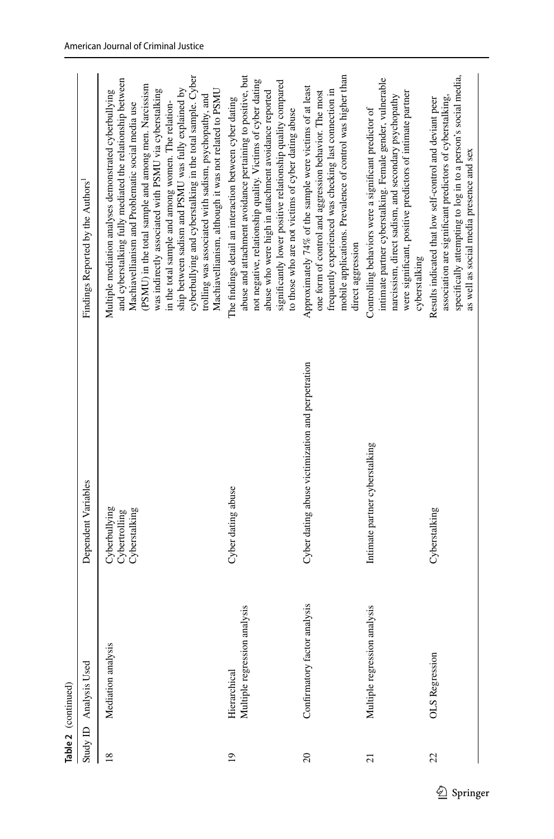|                 | Table 2 (continued)                             |                                                   |                                                                                                                                                                                                                                                                                                                                                                                                                                                                                                                                                                                        |
|-----------------|-------------------------------------------------|---------------------------------------------------|----------------------------------------------------------------------------------------------------------------------------------------------------------------------------------------------------------------------------------------------------------------------------------------------------------------------------------------------------------------------------------------------------------------------------------------------------------------------------------------------------------------------------------------------------------------------------------------|
|                 | Study ID Analysis Used                          | Dependent Variables                               | Findings Reported by the Authors'                                                                                                                                                                                                                                                                                                                                                                                                                                                                                                                                                      |
| $\overline{18}$ | Mediation analysis                              | Cyberbullying<br>Cyberstalking<br>Cybertrolling   | cyberbullying and cyberstalking in the total sample. Cyber<br>and cyberstalking fully mediated the relationship between<br>(PSMU) in the total sample and among men. Narcissism<br>ship between sadism and PSMU was fully explained by<br>was indirectly associated with PSMU via cyberstalking<br>Multiple mediation analyses demonstrated cyberbullying<br>Machiavellianism, although it was not related to PSMU<br>trolling was associated with sadism, psychopathy, and<br>in the total sample and among women. The relation-<br>Machiavellianism and Problematic social media use |
| $\overline{19}$ | analysis<br>Multiple regression<br>Hierarchical | Cyber dating abuse                                | abuse and attachment avoidance pertaining to positive, but<br>not negative, relationship quality. Victims of cyber dating<br>significantly lower positive relationship quality compared<br>abuse who were high in attachment avoidance reported<br>The findings detail an interaction between cyber dating<br>to those who are not victims of cyber dating abuse                                                                                                                                                                                                                       |
| $\overline{c}$  | analysis<br>Confirmatory factor                 | Cyber dating abuse victimization and perpetration | mobile applications. Prevalence of control was higher than<br>Approximately 74% of the sample were victims of at least<br>frequently experienced was checking last connection in<br>one form of control and aggression behavior. The most<br>direct aggression                                                                                                                                                                                                                                                                                                                         |
| $\overline{c}$  | analysis<br>Multiple regression                 | Intimate partner cyberstalking                    | intimate partner cyberstalking. Female gender, vulnerable<br>were significant, positive predictors of intimate partner<br>narcissism, direct sadism, and secondary psychopathy<br>Controlling behaviors were a significant predictor of<br>cyberstalking                                                                                                                                                                                                                                                                                                                               |
| 22              | <b>OLS</b> Regression                           | Cyberstalking                                     | specifically attempting to log in to a person's social media,<br>association are significant predictors of cyberstalking,<br>Results indicated that low self-control and deviant peer<br>as well as social media presence and sex                                                                                                                                                                                                                                                                                                                                                      |

 $\underline{\textcircled{\tiny 2}}$  Springer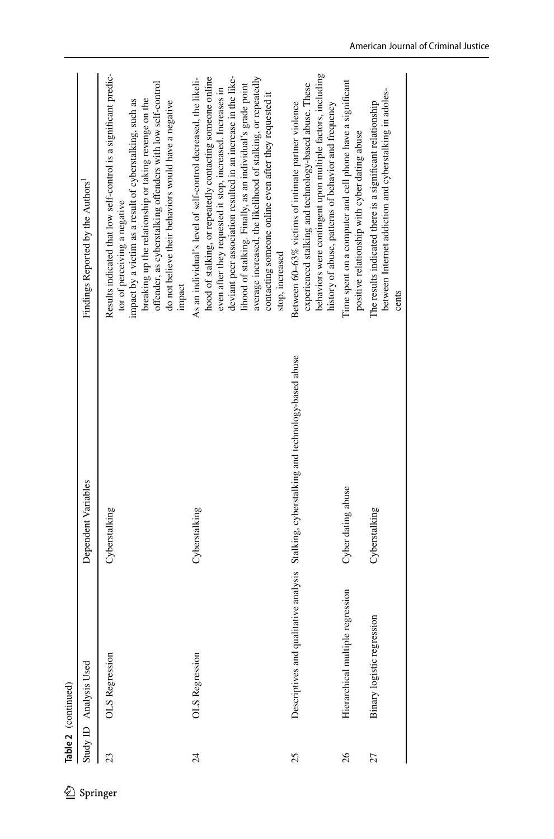|                 | Study ID Analysis Used              | Dependent Variables                                                                      | Findings Reported by the Authors'                                                                                                                                                                                                                                                                                                                                                                                                                                       |
|-----------------|-------------------------------------|------------------------------------------------------------------------------------------|-------------------------------------------------------------------------------------------------------------------------------------------------------------------------------------------------------------------------------------------------------------------------------------------------------------------------------------------------------------------------------------------------------------------------------------------------------------------------|
| 23              | OLS Regression                      | Cyberstalking                                                                            | Results indicated that low self-control is a significant predic-<br>offender, as cyberstalking offenders with low self-control<br>breaking up the relationship or taking revenge on the<br>impact by a victim as a result of cyberstalking, such as<br>do not believe their behaviors would have a negative<br>tor of perceiving a negative<br>impact                                                                                                                   |
| $\overline{24}$ | <b>OLS</b> Regression               | Cyberstalking                                                                            | deviant peer association resulted in an increase in the like-<br>average increased, the likelihood of stalking, or repeatedly<br>As an individual's level of self-control decreased, the likeli-<br>hood of stalking, or repeatedly contacting someone online<br>lihood of stalking. Finally, as an individual's grade point<br>even after they requested it stop, increased. Increases in<br>contacting someone online even after they requested it<br>stop, increased |
| 25              |                                     | Descriptives and qualitative analysis Stalking, cyberstalking and technology-based abuse | behaviors were contingent upon multiple factors, including<br>experienced stalking and technology-based abuse. These<br>Between 60-63% victims of intimate partner violence<br>history of abuse, patterns of behavior and frequency                                                                                                                                                                                                                                     |
| 26              | regression<br>Hierarchical multiple | Cyber dating abuse                                                                       | Time spent on a computer and cell phone have a significant<br>positive relationship with cyber dating abuse                                                                                                                                                                                                                                                                                                                                                             |
| 27              | Binary logistic regression          | Cyberstalking                                                                            | between Internet addiction and cyberstalking in adoles-<br>The results indicated there is a significant relationship<br>cents                                                                                                                                                                                                                                                                                                                                           |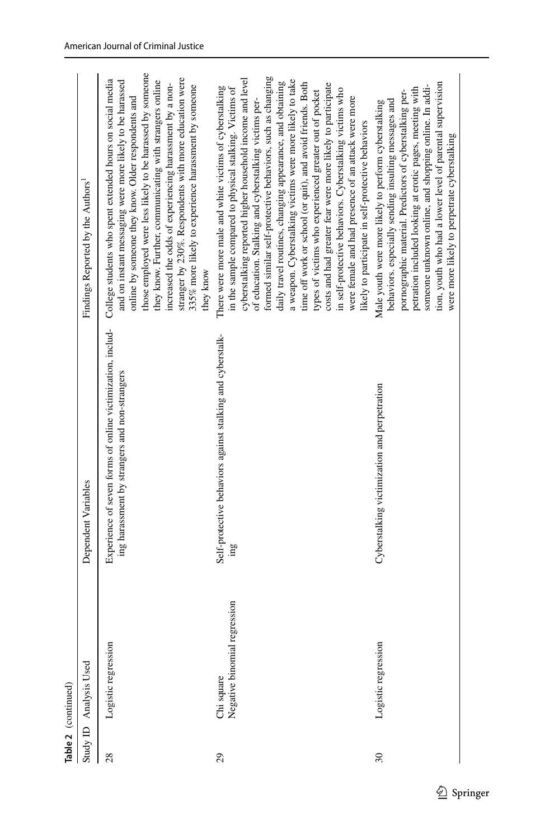|        | Table 2 (continued)                        |                                                                                                             |                                                                                                                                                                                                                                                                                                                                                                                                                                                                                                                                                                                                                                                                                                                                                                                              |
|--------|--------------------------------------------|-------------------------------------------------------------------------------------------------------------|----------------------------------------------------------------------------------------------------------------------------------------------------------------------------------------------------------------------------------------------------------------------------------------------------------------------------------------------------------------------------------------------------------------------------------------------------------------------------------------------------------------------------------------------------------------------------------------------------------------------------------------------------------------------------------------------------------------------------------------------------------------------------------------------|
|        | Study ID Analysis Used                     | Dependent Variables                                                                                         | Findings Reported by the Authors                                                                                                                                                                                                                                                                                                                                                                                                                                                                                                                                                                                                                                                                                                                                                             |
| 28     | Logistic regression                        | Experience of seven forms of online victimization, includ-<br>ing harassment by strangers and non-strangers | those employed were less likely to be harassed by someone<br>stranger by 230%. Respondents with more education were<br>College students who spent extended hours on social media<br>and on instant messaging were more likely to be harassed<br>they know. Further, communicating with strangers online<br>increased the odds of experiencing harassment by a non-<br>335% more likely to experience harassment by someone<br>online by someone they know. Older respondents and<br>they know                                                                                                                                                                                                                                                                                                |
| 29     | Negative binomial regression<br>Chi square | Self-protective behaviors against stalking and cyberstalk-                                                  | formed similar self-protective behaviors, such as changing<br>cyberstalking reported higher household income and level<br>a weapon. Cyberstalking victims were more likely to take<br>daily travel routines, changing appearance, and obtaining<br>time off work or school (or quit), and avoid friends. Both<br>costs and had greater fear were more likely to participate<br>There were more male and white victims of cyberstalking<br>in the sample compared to physical stalking. Victims of<br>in self-protective behaviors. Cyberstalking victims who<br>types of victims who experienced greater out of pocket<br>were female and had presence of an attack were more<br>of education. Stalking and cyberstalking victims per-<br>likely to participate in self-protective behaviors |
| $30\,$ | Logistic regression                        | Cyberstalking victimization and perpetration                                                                | tion, youth who had a lower level of parental supervision<br>someone unknown online, and shopping online. In addi-<br>petration included looking at erotic pages, meeting with<br>pornographic material. Predictors of cyberstalking per-<br>behaviors. especially sending insulting messages and<br>Male youth were more likely to perform cyberstalking<br>were more likely to perpetrate cyberstalking                                                                                                                                                                                                                                                                                                                                                                                    |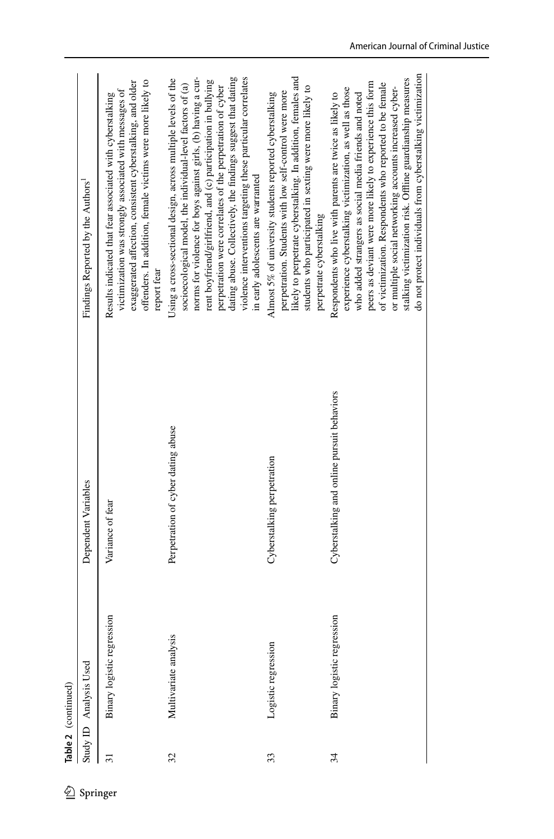|          |                 | Table 2 (continued)        |                                            |                                                                                                                                                                                                                                                                                                                                                                                                                                                                                                |
|----------|-----------------|----------------------------|--------------------------------------------|------------------------------------------------------------------------------------------------------------------------------------------------------------------------------------------------------------------------------------------------------------------------------------------------------------------------------------------------------------------------------------------------------------------------------------------------------------------------------------------------|
|          |                 | Study ID Analysis Used     | Dependent Variables                        | Findings Reported by the Authors'                                                                                                                                                                                                                                                                                                                                                                                                                                                              |
| Springer | $\overline{31}$ | Binary logistic regression | Variance of fear                           | offenders. In addition, female victims were more likely to<br>exaggerated affection, consistent cyberstalking, and older<br>victimization was strongly associated with messages of<br>Results indicated that fear associated with cyberstalking<br>report fear                                                                                                                                                                                                                                 |
|          | 32              | Multivariate analysis      | Perpetration of cyber dating abuse         | dating abuse. Collectively, the findings suggest that dating<br>norms for violence for boys against girls, (b) having a cur-<br>violence interventions targeting these particular correlates<br>Using a cross-sectional design, across multiple levels of the<br>rent boyfriend/girlfriend, and (c) participation in bullying<br>socioecological model, the individual-level factors of (a)<br>perpetration were correlates of the perpetration of cyber<br>in early adolescents are warranted |
|          | 33              | Logistic regression        | Cyberstalking perpetration                 | likely to perpetrate cyberstalking. In addition, females and<br>students who participated in sexting were more likely to<br>perpetration. Students with low self-control were more<br>Almost 5% of university students reported cyberstalking<br>perpetrate cyberstalking                                                                                                                                                                                                                      |
|          | 34              | Binary logistic regression | Cyberstalking and online pursuit behaviors | do not protect individuals from cyberstalking victimization<br>stalking victimization risk. Offline guardianship measures<br>peers as deviant were more likely to experience this form<br>of victimization. Respondents who reported to be female<br>or multiple social networking accounts increased cyber-<br>experience cyberstalking victimization, as well as those<br>Respondents who live with parents are twice as likely to<br>who added strangers as social media friends and noted  |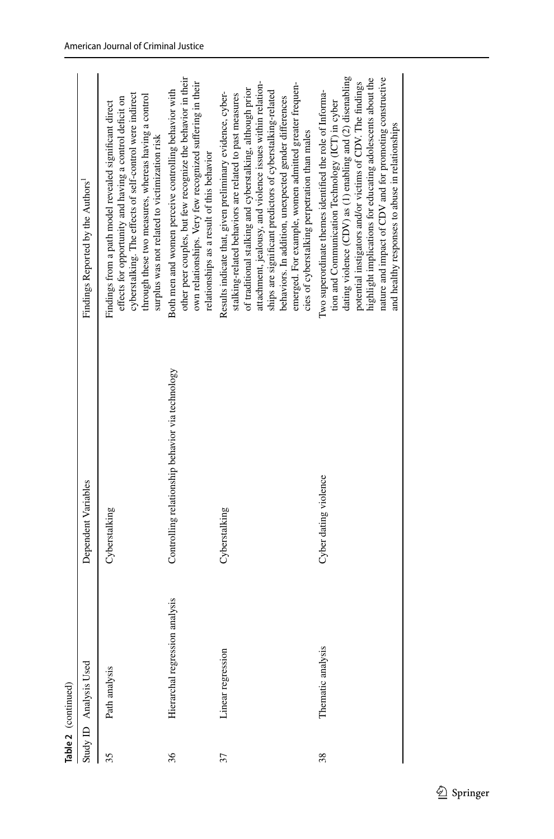|    | Table 2 (continued)            |                                                  |                                                                                                                                                                                                                                                                                                                                                                                                                                                                                 |
|----|--------------------------------|--------------------------------------------------|---------------------------------------------------------------------------------------------------------------------------------------------------------------------------------------------------------------------------------------------------------------------------------------------------------------------------------------------------------------------------------------------------------------------------------------------------------------------------------|
|    | Study ID Analysis Used         | Dependent Variables                              | Findings Reported by the Authors'                                                                                                                                                                                                                                                                                                                                                                                                                                               |
| 35 | Path analysis                  | Cyberstalking                                    | cyberstalking. The effects of self-control were indirect<br>through these two measures, whereas having a control<br>effects for opportunity and having a control deficit on<br>Findings from a path model revealed significant direct<br>surplus was not related to victimization risk                                                                                                                                                                                          |
| 36 | Hierarchal regression analysis | Controlling relationship behavior via technology | other peer couples, but few recognize the behavior in their<br>own relationships. Very few recognized suffering in their<br>Both men and women perceive controlling behavior with<br>relationships as a result of this behavior                                                                                                                                                                                                                                                 |
| 37 | Linear regression              | Cyberstalking                                    | attachment, jealousy, and violence issues within relation-<br>emerged. For example, women admitted greater frequen-<br>of traditional stalking and cyberstalking, although prior<br>ships are significant predictors of cyberstalking-related<br>Results indicate that, given preliminary evidence, cyber-<br>stalking-related behaviors are related to past measures<br>behaviors. In addition, unexpected gender differences<br>cies of cyberstalking perpetration than males |
| 38 | Thematic analysis              | Cyber dating violence                            | dating violence (CDV) as (1) enabling and (2) disenabling<br>highlight implications for educating adolescents about the<br>nature and impact of CDV and for promoting constructive<br>potential instigators and/or victims of CDV. The findings<br>Two superordinate themes identified the role of Informa-<br>tion and Communication Technology (ICT) in cyber<br>and healthy responses to abuse in relationships                                                              |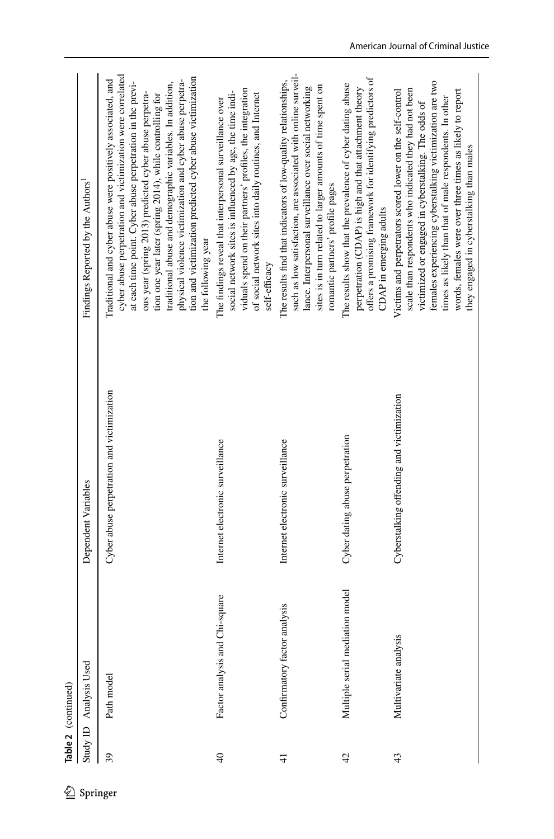|                 | Table 2 (continued)             |                                            |                                                                                                                                                                                                                                                                                                                                                                                                                                                                                                                             |
|-----------------|---------------------------------|--------------------------------------------|-----------------------------------------------------------------------------------------------------------------------------------------------------------------------------------------------------------------------------------------------------------------------------------------------------------------------------------------------------------------------------------------------------------------------------------------------------------------------------------------------------------------------------|
| $Study$ ID      | Analysis Used                   | Dependent Variables                        | Findings Reported by the Authors <sup>1</sup>                                                                                                                                                                                                                                                                                                                                                                                                                                                                               |
| 39              | Path model                      | Cyber abuse perpetration and victimization | cyber abuse perpetration and victimization were correlated<br>tion and victimization predicted cyber abuse victimization<br>Traditional and cyber abuse were positively associated, and<br>at each time point. Cyber abuse perpetration in the previ-<br>physical violence victimization and cyber abuse perpetra-<br>traditional abuse and demographic variables. In addition,<br>ous year (spring 2013) predicted cyber abuse perpetra-<br>tion one year later (spring 2014), while controlling for<br>the following year |
| $\overline{40}$ | Factor analysis and Chi-square  | Internet electronic surveillance           | viduals spend on their partners' profiles, the integration<br>social network sites is influenced by age, the time indi-<br>of social network sites into daily routines, and Internet<br>The findings reveal that interpersonal surveillance over<br>self-efficacy                                                                                                                                                                                                                                                           |
| $\frac{1}{4}$   | Confirmatory factor analysis    | Internet electronic surveillance           | such as low satisfaction, are associated with online surveil-<br>The results find that indicators of low-quality relationships,<br>sites is in turn related to larger amounts of time spent on<br>lance. Interpersonal surveillance over social networking<br>romantic partners' profile pages                                                                                                                                                                                                                              |
| 42              | Multiple serial mediation model | Cyber dating abuse perpetration            | offers a promising framework for identifying predictors of<br>The results show that the prevalence of cyber dating abuse<br>perpetration (CDAP) is high and that attachment theory<br>CDAP in emerging adults                                                                                                                                                                                                                                                                                                               |
| 43              | Multivariate analysis           | Cyberstalking offending and victimization  | females experiencing cyberstalking victimization are two<br>scale than respondents who indicated they had not been<br>words, females were over three times as likely to report<br>Victims and perpetrators scored lower on the self-control<br>times as likely than that of male respondents. In other<br>victimized or engaged in cyberstalking. The odds of<br>they engaged in cyberstalking than males                                                                                                                   |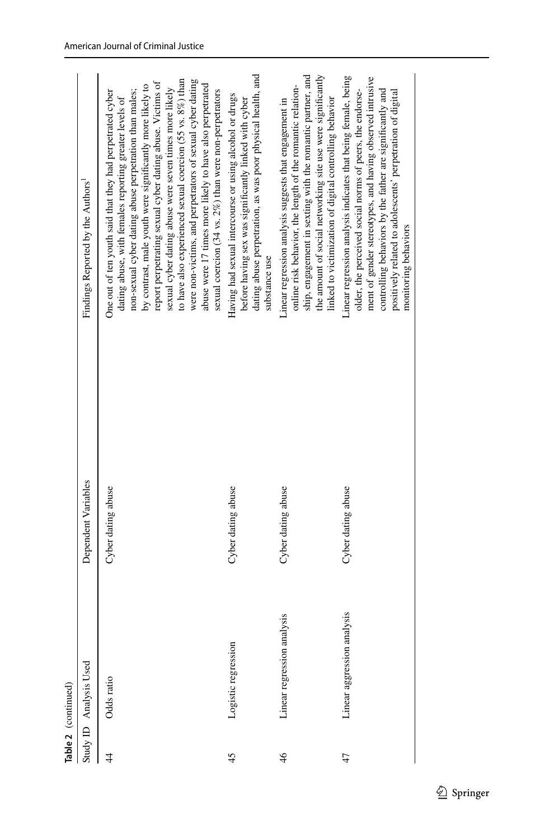|    | Table 2 (continued)            |                     |                                                                                                                                                                                                                                                                                                                                                                                                                                                                                                                                                                                                                               |
|----|--------------------------------|---------------------|-------------------------------------------------------------------------------------------------------------------------------------------------------------------------------------------------------------------------------------------------------------------------------------------------------------------------------------------------------------------------------------------------------------------------------------------------------------------------------------------------------------------------------------------------------------------------------------------------------------------------------|
|    | Study ID Analysis Used         | Dependent Variables | Findings Reported by the Authors'                                                                                                                                                                                                                                                                                                                                                                                                                                                                                                                                                                                             |
|    | Odds ratio                     | Cyber dating abuse  | were non-victims, and perpetrators of sexual cyber dating<br>to have also experienced sexual coercion $(55 \text{ vs. } 8\%)$ than<br>report perpetrating sexual cyber dating abuse. Victims of<br>abuse were 17 times more likely to have also perpetrated<br>by contrast, male youth were significantly more likely to<br>sexual cyber dating abuse were seven times more likely<br>sexual coercion (34 vs. 2%) than were non-perpetrators<br>non-sexual cyber dating abuse perpetration than males;<br>One out of ten youth said that they had perpetrated cyber<br>dating abuse, with females reporting greater levels of |
|    | Logistic regression            | Cyber dating abuse  | dating abuse perpetration, as was poor physical health, and<br>Having had sexual intercourse or using alcohol or drugs<br>before having sex was significantly linked with cyber<br>substance use                                                                                                                                                                                                                                                                                                                                                                                                                              |
| 46 | alysis<br>Linear regression an | Cyber dating abuse  | the amount of social networking site use were significantly<br>ship, engagement in sexting with the romantic partner, and<br>online risk behavior, the length of the romantic relation-<br>linked to victimization of digital controlling behavior<br>Linear regression analysis suggests that engagement in                                                                                                                                                                                                                                                                                                                  |
|    | Linear aggression analysis     | Cyber dating abuse  | Linear regression analysis indicates that being female, being<br>ment of gender stereotypes, and having observed intrusive<br>older, the perceived social norms of peers, the endorse-<br>controlling behaviors by the father are significantly and<br>positively related to adolescents' perpetration of digital<br>monitoring behaviors                                                                                                                                                                                                                                                                                     |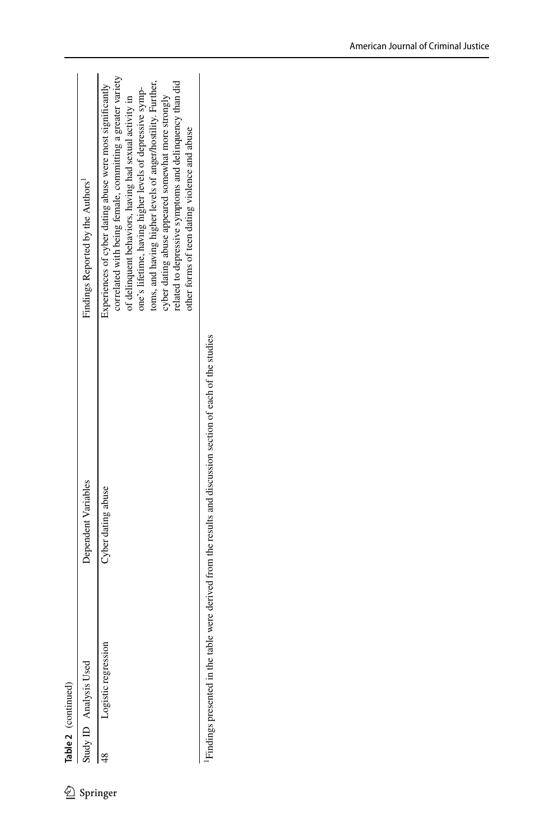|  | Findings Reported by the Authors <sup>1</sup><br>Dependent Variables | correlated with being female, committing a greater variety<br>elated to depressive symptoms and delinquency than did<br>oms, and having higher levels of anger/hostility. Further,<br>Experiences of cyber dating abuse were most significantly<br>one's lifetime, having higher levels of depressive symp-<br>of delinquent behaviors, having had sexual activity in<br>cyber dating abuse appeared somewhat more strongly.<br>other forms of teen dating violence and abuse<br>Cyber dating abuse |
|--|----------------------------------------------------------------------|-----------------------------------------------------------------------------------------------------------------------------------------------------------------------------------------------------------------------------------------------------------------------------------------------------------------------------------------------------------------------------------------------------------------------------------------------------------------------------------------------------|
|--|----------------------------------------------------------------------|-----------------------------------------------------------------------------------------------------------------------------------------------------------------------------------------------------------------------------------------------------------------------------------------------------------------------------------------------------------------------------------------------------------------------------------------------------------------------------------------------------|

Findings presented in the table were derived from the results and discussion section of each of the studies 1Findings presented in the table were derived from the results and discussion section of each of the studies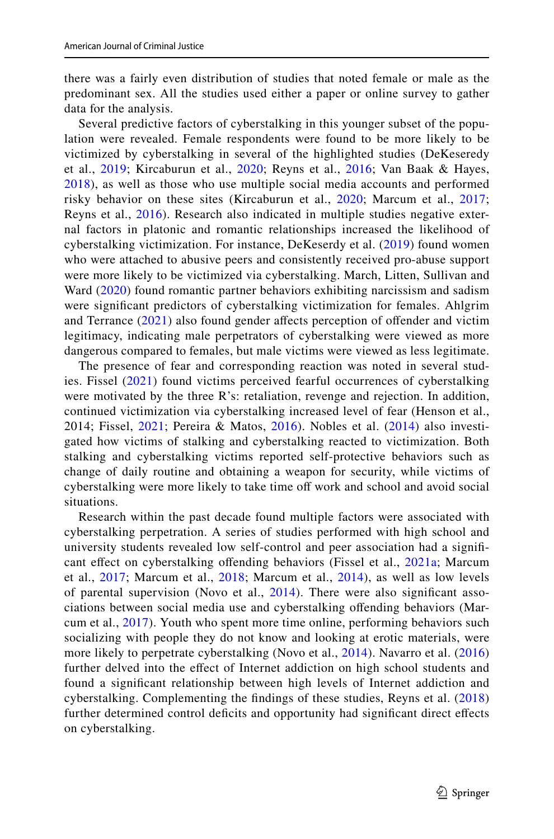there was a fairly even distribution of studies that noted female or male as the predominant sex. All the studies used either a paper or online survey to gather data for the analysis.

Several predictive factors of cyberstalking in this younger subset of the population were revealed. Female respondents were found to be more likely to be victimized by cyberstalking in several of the highlighted studies (DeKeseredy et al., [2019;](#page-25-11) Kircaburun et al., [2020;](#page-26-18) Reyns et al., [2016](#page-27-18); Van Baak & Hayes, [2018\)](#page-27-17), as well as those who use multiple social media accounts and performed risky behavior on these sites (Kircaburun et al., [2020](#page-26-18); Marcum et al., [2017;](#page-26-21) Reyns et al., [2016\)](#page-27-18). Research also indicated in multiple studies negative external factors in platonic and romantic relationships increased the likelihood of cyberstalking victimization. For instance, DeKeserdy et al. [\(2019](#page-25-11)) found women who were attached to abusive peers and consistently received pro-abuse support were more likely to be victimized via cyberstalking. March, Litten, Sullivan and Ward ([2020\)](#page-26-20) found romantic partner behaviors exhibiting narcissism and sadism were signifcant predictors of cyberstalking victimization for females. Ahlgrim and Terrance [\(2021](#page-25-5)) also found gender afects perception of ofender and victim legitimacy, indicating male perpetrators of cyberstalking were viewed as more dangerous compared to females, but male victims were viewed as less legitimate.

The presence of fear and corresponding reaction was noted in several studies. Fissel ([2021](#page-26-6)) found victims perceived fearful occurrences of cyberstalking were motivated by the three R's: retaliation, revenge and rejection. In addition, continued victimization via cyberstalking increased level of fear (Henson et al., 2014; Fissel, [2021;](#page-26-6) Pereira & Matos, [2016](#page-27-6)). Nobles et al. ([2014](#page-27-10)) also investigated how victims of stalking and cyberstalking reacted to victimization. Both stalking and cyberstalking victims reported self-protective behaviors such as change of daily routine and obtaining a weapon for security, while victims of cyberstalking were more likely to take time off work and school and avoid social situations.

Research within the past decade found multiple factors were associated with cyberstalking perpetration. A series of studies performed with high school and university students revealed low self-control and peer association had a signif-cant effect on cyberstalking offending behaviors (Fissel et al., [2021a;](#page-26-7) Marcum et al., [2017;](#page-26-21) Marcum et al., [2018](#page-26-22); Marcum et al., [2014\)](#page-26-9), as well as low levels of parental supervision (Novo et al., [2014\)](#page-27-5). There were also signifcant associations between social media use and cyberstalking ofending behaviors (Marcum et al., [2017](#page-26-21)). Youth who spent more time online, performing behaviors such socializing with people they do not know and looking at erotic materials, were more likely to perpetrate cyberstalking (Novo et al., [2014\)](#page-27-5). Navarro et al. [\(2016](#page-26-11)) further delved into the efect of Internet addiction on high school students and found a signifcant relationship between high levels of Internet addiction and cyberstalking. Complementing the fndings of these studies, Reyns et al. ([2018\)](#page-27-12) further determined control deficits and opportunity had significant direct effects on cyberstalking.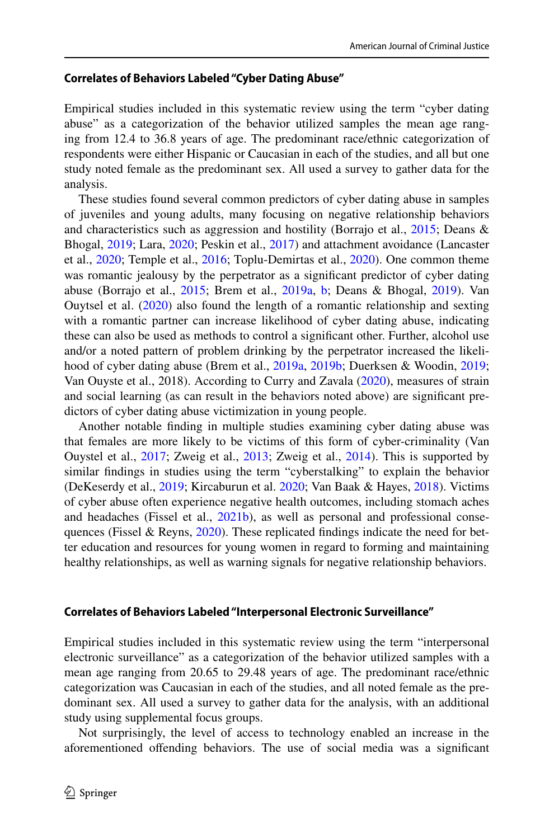#### **Correlates of Behaviors Labeled "Cyber Dating Abuse"**

Empirical studies included in this systematic review using the term "cyber dating abuse" as a categorization of the behavior utilized samples the mean age ranging from 12.4 to 36.8 years of age. The predominant race/ethnic categorization of respondents were either Hispanic or Caucasian in each of the studies, and all but one study noted female as the predominant sex. All used a survey to gather data for the analysis.

These studies found several common predictors of cyber dating abuse in samples of juveniles and young adults, many focusing on negative relationship behaviors and characteristics such as aggression and hostility (Borrajo et al., [2015](#page-25-1); Deans & Bhogal, [2019](#page-25-10); Lara, [2020](#page-26-8); Peskin et al., [2017\)](#page-27-7) and attachment avoidance (Lancaster et al., [2020](#page-26-19); Temple et al., [2016](#page-27-9); Toplu-Demirtas et al., [2020\)](#page-27-16). One common theme was romantic jealousy by the perpetrator as a signifcant predictor of cyber dating abuse (Borrajo et al., [2015](#page-25-1); Brem et al., [2019a](#page-25-7), [b;](#page-25-8) Deans & Bhogal, [2019\)](#page-25-10). Van Ouytsel et al. [\(2020](#page-28-3)) also found the length of a romantic relationship and sexting with a romantic partner can increase likelihood of cyber dating abuse, indicating these can also be used as methods to control a signifcant other. Further, alcohol use and/or a noted pattern of problem drinking by the perpetrator increased the likelihood of cyber dating abuse (Brem et al., [2019a](#page-25-7), [2019b](#page-25-8); Duerksen & Woodin, [2019;](#page-26-15) Van Ouyste et al., 2018). According to Curry and Zavala [\(2020](#page-25-9)), measures of strain and social learning (as can result in the behaviors noted above) are signifcant predictors of cyber dating abuse victimization in young people.

Another notable fnding in multiple studies examining cyber dating abuse was that females are more likely to be victims of this form of cyber-criminality (Van Ouystel et al., [2017;](#page-28-1) Zweig et al., [2013](#page-28-0); Zweig et al., [2014](#page-28-4)). This is supported by similar fndings in studies using the term "cyberstalking" to explain the behavior (DeKeserdy et al., [2019](#page-25-11); Kircaburun et al. [2020;](#page-26-18) Van Baak & Hayes, [2018](#page-27-17)). Victims of cyber abuse often experience negative health outcomes, including stomach aches and headaches (Fissel et al., [2021b\)](#page-26-12), as well as personal and professional conse-quences (Fissel & Reyns, [2020\)](#page-26-13). These replicated findings indicate the need for better education and resources for young women in regard to forming and maintaining healthy relationships, as well as warning signals for negative relationship behaviors.

#### **Correlates of Behaviors Labeled "Interpersonal Electronic Surveillance"**

Empirical studies included in this systematic review using the term "interpersonal electronic surveillance" as a categorization of the behavior utilized samples with a mean age ranging from 20.65 to 29.48 years of age. The predominant race/ethnic categorization was Caucasian in each of the studies, and all noted female as the predominant sex. All used a survey to gather data for the analysis, with an additional study using supplemental focus groups.

Not surprisingly, the level of access to technology enabled an increase in the aforementioned ofending behaviors. The use of social media was a signifcant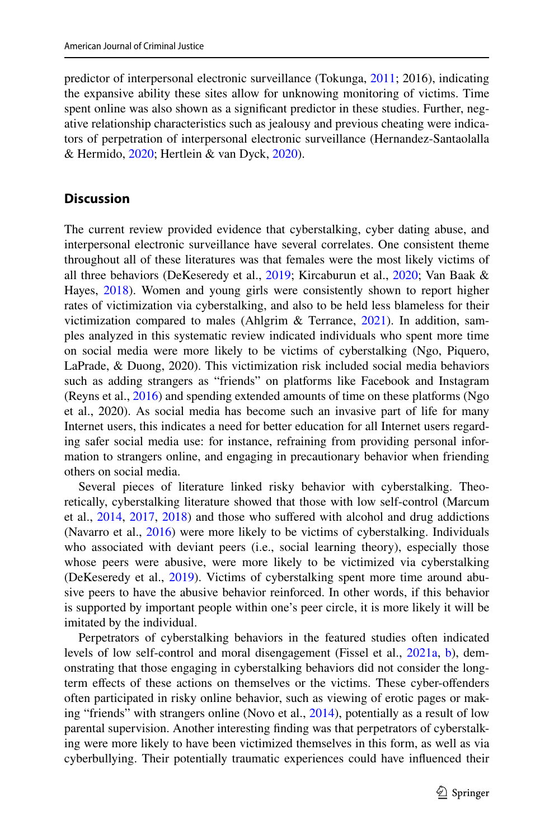predictor of interpersonal electronic surveillance (Tokunga, [2011;](#page-27-14) 2016), indicating the expansive ability these sites allow for unknowing monitoring of victims. Time spent online was also shown as a signifcant predictor in these studies. Further, negative relationship characteristics such as jealousy and previous cheating were indicators of perpetration of interpersonal electronic surveillance (Hernandez-Santaolalla & Hermido, [2020](#page-26-17); Hertlein & van Dyck, [2020](#page-26-14)).

## **Discussion**

The current review provided evidence that cyberstalking, cyber dating abuse, and interpersonal electronic surveillance have several correlates. One consistent theme throughout all of these literatures was that females were the most likely victims of all three behaviors (DeKeseredy et al., [2019;](#page-25-11) Kircaburun et al., [2020;](#page-26-18) Van Baak & Hayes,  $2018$ ). Women and young girls were consistently shown to report higher rates of victimization via cyberstalking, and also to be held less blameless for their victimization compared to males (Ahlgrim  $\&$  Terrance, [2021\)](#page-25-5). In addition, samples analyzed in this systematic review indicated individuals who spent more time on social media were more likely to be victims of cyberstalking (Ngo, Piquero, LaPrade, & Duong, 2020). This victimization risk included social media behaviors such as adding strangers as "friends" on platforms like Facebook and Instagram (Reyns et al., [2016](#page-27-18)) and spending extended amounts of time on these platforms (Ngo et al., 2020). As social media has become such an invasive part of life for many Internet users, this indicates a need for better education for all Internet users regarding safer social media use: for instance, refraining from providing personal information to strangers online, and engaging in precautionary behavior when friending others on social media.

Several pieces of literature linked risky behavior with cyberstalking. Theoretically, cyberstalking literature showed that those with low self-control (Marcum et al., [2014](#page-26-9), [2017,](#page-26-21) [2018\)](#page-26-22) and those who sufered with alcohol and drug addictions (Navarro et al., [2016](#page-26-11)) were more likely to be victims of cyberstalking. Individuals who associated with deviant peers (i.e., social learning theory), especially those whose peers were abusive, were more likely to be victimized via cyberstalking (DeKeseredy et al., [2019](#page-25-11)). Victims of cyberstalking spent more time around abusive peers to have the abusive behavior reinforced. In other words, if this behavior is supported by important people within one's peer circle, it is more likely it will be imitated by the individual.

Perpetrators of cyberstalking behaviors in the featured studies often indicated levels of low self-control and moral disengagement (Fissel et al., [2021a](#page-26-7), [b](#page-26-12)), demonstrating that those engaging in cyberstalking behaviors did not consider the longterm efects of these actions on themselves or the victims. These cyber-ofenders often participated in risky online behavior, such as viewing of erotic pages or making "friends" with strangers online (Novo et al., [2014\)](#page-27-5), potentially as a result of low parental supervision. Another interesting fnding was that perpetrators of cyberstalking were more likely to have been victimized themselves in this form, as well as via cyberbullying. Their potentially traumatic experiences could have infuenced their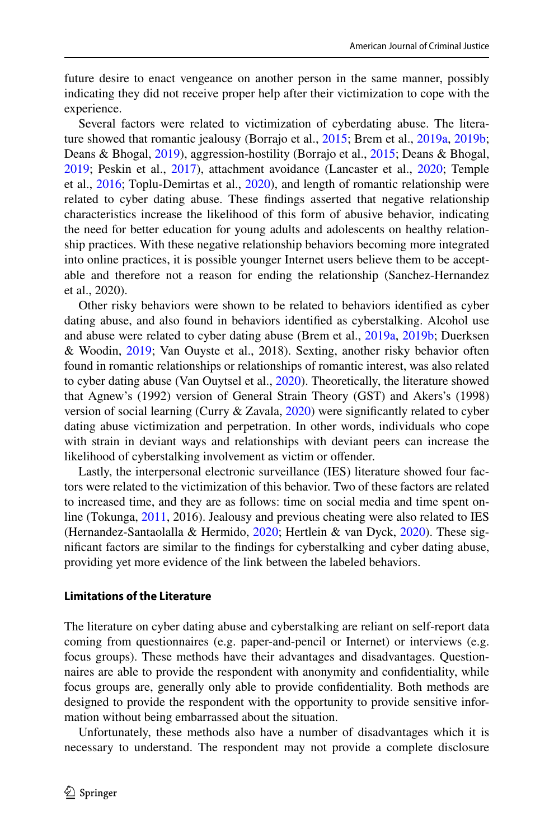future desire to enact vengeance on another person in the same manner, possibly indicating they did not receive proper help after their victimization to cope with the experience.

Several factors were related to victimization of cyberdating abuse. The literature showed that romantic jealousy (Borrajo et al., [2015;](#page-25-1) Brem et al., [2019a](#page-25-7), [2019b;](#page-25-8) Deans & Bhogal, [2019\)](#page-25-10), aggression-hostility (Borrajo et al., [2015;](#page-25-1) Deans & Bhogal, [2019](#page-25-10); Peskin et al., [2017\)](#page-27-7), attachment avoidance (Lancaster et al., [2020](#page-26-19); Temple et al., [2016](#page-27-9); Toplu-Demirtas et al., [2020\)](#page-27-16), and length of romantic relationship were related to cyber dating abuse. These fndings asserted that negative relationship characteristics increase the likelihood of this form of abusive behavior, indicating the need for better education for young adults and adolescents on healthy relationship practices. With these negative relationship behaviors becoming more integrated into online practices, it is possible younger Internet users believe them to be acceptable and therefore not a reason for ending the relationship (Sanchez-Hernandez et al., 2020).

Other risky behaviors were shown to be related to behaviors identifed as cyber dating abuse, and also found in behaviors identifed as cyberstalking. Alcohol use and abuse were related to cyber dating abuse (Brem et al., [2019a,](#page-25-7) [2019b](#page-25-8); Duerksen & Woodin, [2019](#page-26-15); Van Ouyste et al., 2018). Sexting, another risky behavior often found in romantic relationships or relationships of romantic interest, was also related to cyber dating abuse (Van Ouytsel et al., [2020\)](#page-28-3). Theoretically, the literature showed that Agnew's (1992) version of General Strain Theory (GST) and Akers's (1998) version of social learning (Curry & Zavala, [2020\)](#page-25-9) were signifcantly related to cyber dating abuse victimization and perpetration. In other words, individuals who cope with strain in deviant ways and relationships with deviant peers can increase the likelihood of cyberstalking involvement as victim or ofender.

Lastly, the interpersonal electronic surveillance (IES) literature showed four factors were related to the victimization of this behavior. Two of these factors are related to increased time, and they are as follows: time on social media and time spent online (Tokunga, [2011](#page-27-14), 2016). Jealousy and previous cheating were also related to IES (Hernandez-Santaolalla & Hermido, [2020;](#page-26-17) Hertlein & van Dyck, [2020\)](#page-26-14). These signifcant factors are similar to the fndings for cyberstalking and cyber dating abuse, providing yet more evidence of the link between the labeled behaviors.

#### **Limitations of the Literature**

The literature on cyber dating abuse and cyberstalking are reliant on self-report data coming from questionnaires (e.g. paper-and-pencil or Internet) or interviews (e.g. focus groups). These methods have their advantages and disadvantages. Questionnaires are able to provide the respondent with anonymity and confdentiality, while focus groups are, generally only able to provide confdentiality. Both methods are designed to provide the respondent with the opportunity to provide sensitive information without being embarrassed about the situation.

Unfortunately, these methods also have a number of disadvantages which it is necessary to understand. The respondent may not provide a complete disclosure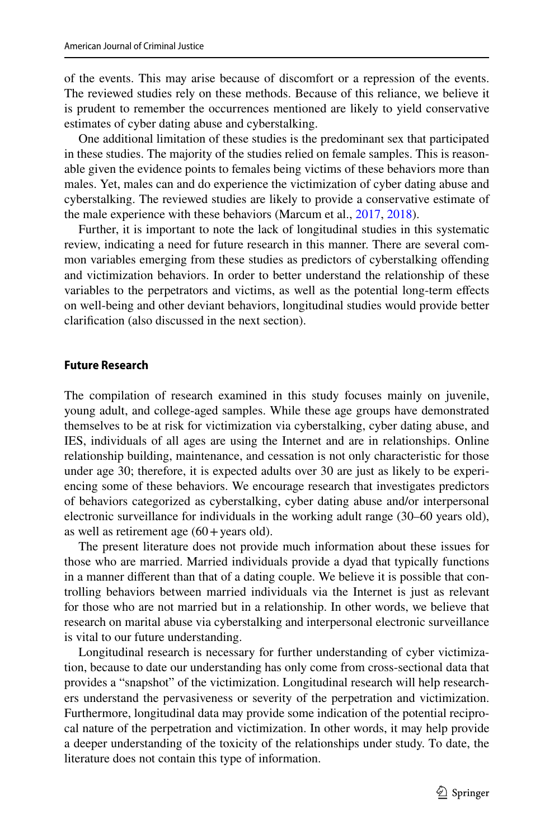of the events. This may arise because of discomfort or a repression of the events. The reviewed studies rely on these methods. Because of this reliance, we believe it is prudent to remember the occurrences mentioned are likely to yield conservative estimates of cyber dating abuse and cyberstalking.

One additional limitation of these studies is the predominant sex that participated in these studies. The majority of the studies relied on female samples. This is reasonable given the evidence points to females being victims of these behaviors more than males. Yet, males can and do experience the victimization of cyber dating abuse and cyberstalking. The reviewed studies are likely to provide a conservative estimate of the male experience with these behaviors (Marcum et al., [2017](#page-26-21), [2018](#page-26-22)).

Further, it is important to note the lack of longitudinal studies in this systematic review, indicating a need for future research in this manner. There are several common variables emerging from these studies as predictors of cyberstalking ofending and victimization behaviors. In order to better understand the relationship of these variables to the perpetrators and victims, as well as the potential long-term efects on well-being and other deviant behaviors, longitudinal studies would provide better clarifcation (also discussed in the next section).

#### **Future Research**

The compilation of research examined in this study focuses mainly on juvenile, young adult, and college-aged samples. While these age groups have demonstrated themselves to be at risk for victimization via cyberstalking, cyber dating abuse, and IES, individuals of all ages are using the Internet and are in relationships. Online relationship building, maintenance, and cessation is not only characteristic for those under age 30; therefore, it is expected adults over 30 are just as likely to be experiencing some of these behaviors. We encourage research that investigates predictors of behaviors categorized as cyberstalking, cyber dating abuse and/or interpersonal electronic surveillance for individuals in the working adult range (30–60 years old), as well as retirement age  $(60 + \text{years old})$ .

The present literature does not provide much information about these issues for those who are married. Married individuals provide a dyad that typically functions in a manner diferent than that of a dating couple. We believe it is possible that controlling behaviors between married individuals via the Internet is just as relevant for those who are not married but in a relationship. In other words, we believe that research on marital abuse via cyberstalking and interpersonal electronic surveillance is vital to our future understanding.

Longitudinal research is necessary for further understanding of cyber victimization, because to date our understanding has only come from cross-sectional data that provides a "snapshot" of the victimization. Longitudinal research will help researchers understand the pervasiveness or severity of the perpetration and victimization. Furthermore, longitudinal data may provide some indication of the potential reciprocal nature of the perpetration and victimization. In other words, it may help provide a deeper understanding of the toxicity of the relationships under study. To date, the literature does not contain this type of information.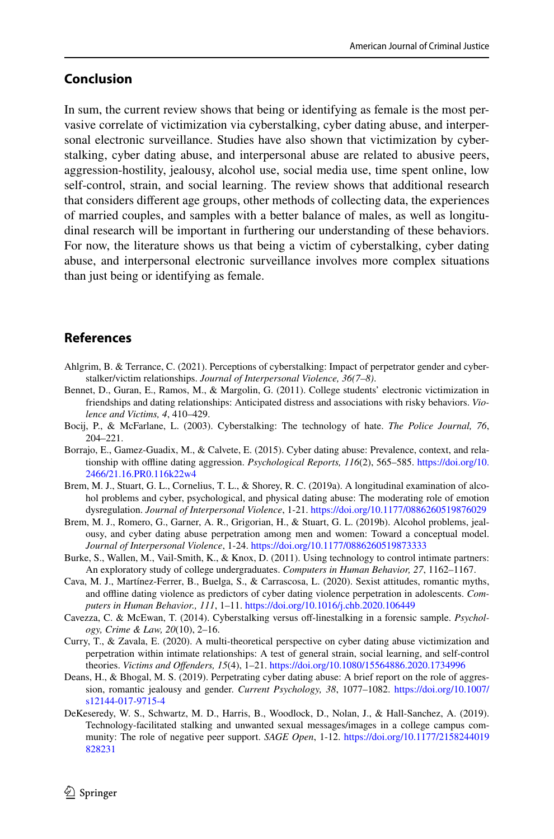## **Conclusion**

In sum, the current review shows that being or identifying as female is the most pervasive correlate of victimization via cyberstalking, cyber dating abuse, and interpersonal electronic surveillance. Studies have also shown that victimization by cyberstalking, cyber dating abuse, and interpersonal abuse are related to abusive peers, aggression-hostility, jealousy, alcohol use, social media use, time spent online, low self-control, strain, and social learning. The review shows that additional research that considers diferent age groups, other methods of collecting data, the experiences of married couples, and samples with a better balance of males, as well as longitudinal research will be important in furthering our understanding of these behaviors. For now, the literature shows us that being a victim of cyberstalking, cyber dating abuse, and interpersonal electronic surveillance involves more complex situations than just being or identifying as female.

## **References**

- <span id="page-25-5"></span>Ahlgrim, B. & Terrance, C. (2021). Perceptions of cyberstalking: Impact of perpetrator gender and cyberstalker/victim relationships. *Journal of Interpersonal Violence, 36(7–8)*.
- <span id="page-25-3"></span>Bennet, D., Guran, E., Ramos, M., & Margolin, G. (2011). College students' electronic victimization in friendships and dating relationships: Anticipated distress and associations with risky behaviors. *Violence and Victims, 4*, 410–429.
- <span id="page-25-0"></span>Bocij, P., & McFarlane, L. (2003). Cyberstalking: The technology of hate. *The Police Journal, 76*, 204–221.
- <span id="page-25-1"></span>Borrajo, E., Gamez-Guadix, M., & Calvete, E. (2015). Cyber dating abuse: Prevalence, context, and relationship with ofine dating aggression. *Psychological Reports, 116*(2), 565–585. [https://doi.org/10.](https://doi.org/10.2466/21.16.PR0.116k22w4) [2466/21.16.PR0.116k22w4](https://doi.org/10.2466/21.16.PR0.116k22w4)
- <span id="page-25-7"></span>Brem, M. J., Stuart, G. L., Cornelius, T. L., & Shorey, R. C. (2019a). A longitudinal examination of alcohol problems and cyber, psychological, and physical dating abuse: The moderating role of emotion dysregulation. *Journal of Interpersonal Violence*, 1-21. <https://doi.org/10.1177/0886260519876029>
- <span id="page-25-8"></span>Brem, M. J., Romero, G., Garner, A. R., Grigorian, H., & Stuart, G. L. (2019b). Alcohol problems, jealousy, and cyber dating abuse perpetration among men and women: Toward a conceptual model. *Journal of Interpersonal Violence*, 1-24.<https://doi.org/10.1177/0886260519873333>
- <span id="page-25-2"></span>Burke, S., Wallen, M., Vail-Smith, K., & Knox, D. (2011). Using technology to control intimate partners: An exploratory study of college undergraduates. *Computers in Human Behavior, 27*, 1162–1167.
- <span id="page-25-4"></span>Cava, M. J., Martínez-Ferrer, B., Buelga, S., & Carrascosa, L. (2020). Sexist attitudes, romantic myths, and ofine dating violence as predictors of cyber dating violence perpetration in adolescents. *Computers in Human Behavior., 111*, 1–11.<https://doi.org/10.1016/j.chb.2020.106449>
- <span id="page-25-6"></span>Cavezza, C. & McEwan, T. (2014). Cyberstalking versus off-linestalking in a forensic sample. *Psychology, Crime & Law, 20*(10), 2–16.
- <span id="page-25-9"></span>Curry, T., & Zavala, E. (2020). A multi-theoretical perspective on cyber dating abuse victimization and perpetration within intimate relationships: A test of general strain, social learning, and self-control theories. *Victims and Ofenders, 15*(4), 1–21. <https://doi.org/10.1080/15564886.2020.1734996>
- <span id="page-25-10"></span>Deans, H., & Bhogal, M. S. (2019). Perpetrating cyber dating abuse: A brief report on the role of aggression, romantic jealousy and gender. *Current Psychology, 38*, 1077–1082. [https://doi.org/10.1007/](https://doi.org/10.1007/s12144-017-9715-4) [s12144-017-9715-4](https://doi.org/10.1007/s12144-017-9715-4)
- <span id="page-25-11"></span>DeKeseredy, W. S., Schwartz, M. D., Harris, B., Woodlock, D., Nolan, J., & Hall-Sanchez, A. (2019). Technology-facilitated stalking and unwanted sexual messages/images in a college campus community: The role of negative peer support. *SAGE Open*, 1-12. [https://doi.org/10.1177/2158244019](https://doi.org/10.1177/2158244019828231) [828231](https://doi.org/10.1177/2158244019828231)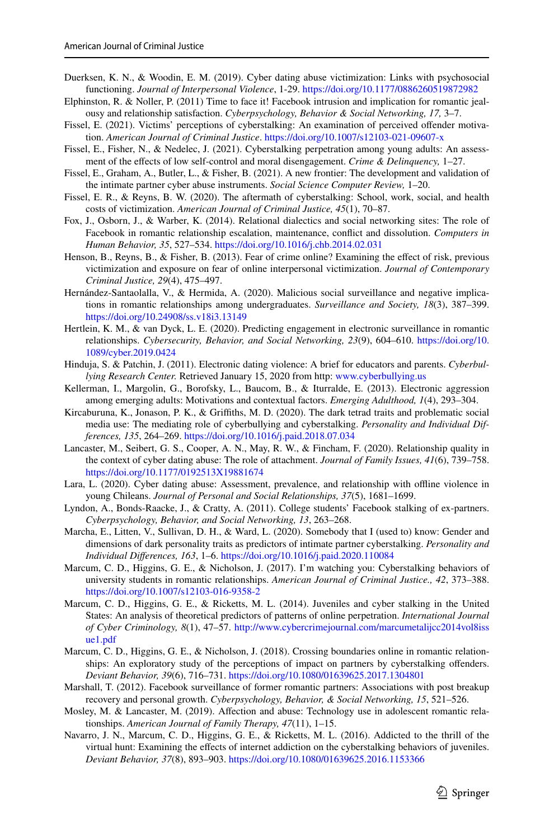- <span id="page-26-15"></span>Duerksen, K. N., & Woodin, E. M. (2019). Cyber dating abuse victimization: Links with psychosocial functioning. *Journal of Interpersonal Violence*, 1-29.<https://doi.org/10.1177/0886260519872982>
- <span id="page-26-0"></span>Elphinston, R. & Noller, P. (2011) Time to face it! Facebook intrusion and implication for romantic jealousy and relationship satisfaction. *Cyberpsychology, Behavior & Social Networking, 17,* 3–7.
- <span id="page-26-6"></span>Fissel, E. (2021). Victims' perceptions of cyberstalking: An examination of perceived ofender motivation. *American Journal of Criminal Justice*.<https://doi.org/10.1007/s12103-021-09607-x>
- <span id="page-26-7"></span>Fissel, E., Fisher, N., & Nedelec, J. (2021). Cyberstalking perpetration among young adults: An assessment of the efects of low self-control and moral disengagement. *Crime & Delinquency,* 1–27.
- <span id="page-26-12"></span>Fissel, E., Graham, A., Butler, L., & Fisher, B. (2021). A new frontier: The development and validation of the intimate partner cyber abuse instruments. *Social Science Computer Review,* 1–20.
- <span id="page-26-13"></span>Fissel, E. R., & Reyns, B. W. (2020). The aftermath of cyberstalking: School, work, social, and health costs of victimization. *American Journal of Criminal Justice, 45*(1), 70–87.
- <span id="page-26-1"></span>Fox, J., Osborn, J., & Warber, K. (2014). Relational dialectics and social networking sites: The role of Facebook in romantic relationship escalation, maintenance, confict and dissolution. *Computers in Human Behavior, 35*, 527–534.<https://doi.org/10.1016/j.chb.2014.02.031>
- <span id="page-26-16"></span>Henson, B., Reyns, B., & Fisher, B. (2013). Fear of crime online? Examining the efect of risk, previous victimization and exposure on fear of online interpersonal victimization. *Journal of Contemporary Criminal Justice, 29*(4), 475–497.
- <span id="page-26-17"></span>Hernández-Santaolalla, V., & Hermida, A. (2020). Malicious social surveillance and negative implications in romantic relationships among undergraduates. *Surveillance and Society, 18*(3), 387–399. <https://doi.org/10.24908/ss.v18i3.13149>
- <span id="page-26-14"></span>Hertlein, K. M., & van Dyck, L. E. (2020). Predicting engagement in electronic surveillance in romantic relationships. *Cybersecurity, Behavior, and Social Networking, 23*(9), 604–610. [https://doi.org/10.](https://doi.org/10.1089/cyber.2019.0424) [1089/cyber.2019.0424](https://doi.org/10.1089/cyber.2019.0424)
- <span id="page-26-4"></span>Hinduja, S. & Patchin, J. (2011). Electronic dating violence: A brief for educators and parents. *Cyberbullying Research Center.* Retrieved January 15, 2020 from http: [www.cyberbullying.us](http://www.cyberbullying.us)
- <span id="page-26-5"></span>Kellerman, I., Margolin, G., Borofsky, L., Baucom, B., & Iturralde, E. (2013). Electronic aggression among emerging adults: Motivations and contextual factors. *Emerging Adulthood, 1*(4), 293–304.
- <span id="page-26-18"></span>Kircaburuna, K., Jonason, P. K., & Grifths, M. D. (2020). The dark tetrad traits and problematic social media use: The mediating role of cyberbullying and cyberstalking. *Personality and Individual Differences, 135*, 264–269.<https://doi.org/10.1016/j.paid.2018.07.034>
- <span id="page-26-19"></span>Lancaster, M., Seibert, G. S., Cooper, A. N., May, R. W., & Fincham, F. (2020). Relationship quality in the context of cyber dating abuse: The role of attachment. *Journal of Family Issues, 41*(6), 739–758. <https://doi.org/10.1177/0192513X19881674>
- <span id="page-26-8"></span>Lara, L. (2020). Cyber dating abuse: Assessment, prevalence, and relationship with ofine violence in young Chileans. *Journal of Personal and Social Relationships, 37*(5), 1681–1699.
- <span id="page-26-3"></span>Lyndon, A., Bonds-Raacke, J., & Cratty, A. (2011). College students' Facebook stalking of ex-partners. *Cyberpsychology, Behavior, and Social Networking, 13*, 263–268.
- <span id="page-26-20"></span>Marcha, E., Litten, V., Sullivan, D. H., & Ward, L. (2020). Somebody that I (used to) know: Gender and dimensions of dark personality traits as predictors of intimate partner cyberstalking. *Personality and Individual Diferences, 163*, 1–6.<https://doi.org/10.1016/j.paid.2020.110084>
- <span id="page-26-21"></span>Marcum, C. D., Higgins, G. E., & Nicholson, J. (2017). I'm watching you: Cyberstalking behaviors of university students in romantic relationships. *American Journal of Criminal Justice., 42*, 373–388. <https://doi.org/10.1007/s12103-016-9358-2>
- <span id="page-26-9"></span>Marcum, C. D., Higgins, G. E., & Ricketts, M. L. (2014). Juveniles and cyber stalking in the United States: An analysis of theoretical predictors of patterns of online perpetration. *International Journal of Cyber Criminology, 8*(1), 47–57. [http://www.cybercrimejournal.com/marcumetalijcc2014vol8iss](http://www.cybercrimejournal.com/marcumetalijcc2014vol8issue1.pdf) [ue1.pdf](http://www.cybercrimejournal.com/marcumetalijcc2014vol8issue1.pdf)
- <span id="page-26-22"></span>Marcum, C. D., Higgins, G. E., & Nicholson, J. (2018). Crossing boundaries online in romantic relationships: An exploratory study of the perceptions of impact on partners by cyberstalking ofenders. *Deviant Behavior, 39*(6), 716–731. <https://doi.org/10.1080/01639625.2017.1304801>
- <span id="page-26-2"></span>Marshall, T. (2012). Facebook surveillance of former romantic partners: Associations with post breakup recovery and personal growth. *Cyberpsychology, Behavior, & Social Networking, 15*, 521–526.
- <span id="page-26-10"></span>Mosley, M. & Lancaster, M. (2019). Afection and abuse: Technology use in adolescent romantic relationships. *American Journal of Family Therapy, 47*(11), 1–15.
- <span id="page-26-11"></span>Navarro, J. N., Marcum, C. D., Higgins, G. E., & Ricketts, M. L. (2016). Addicted to the thrill of the virtual hunt: Examining the efects of internet addiction on the cyberstalking behaviors of juveniles. *Deviant Behavior, 37*(8), 893–903. <https://doi.org/10.1080/01639625.2016.1153366>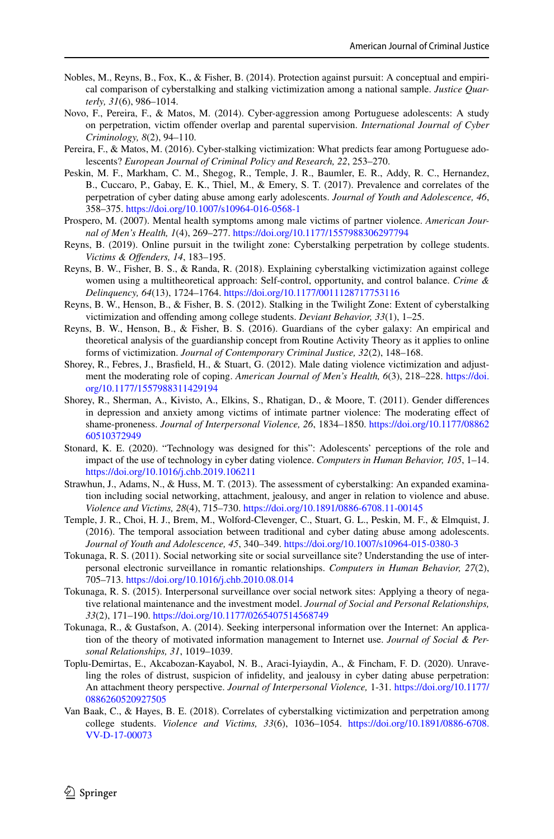- <span id="page-27-10"></span>Nobles, M., Reyns, B., Fox, K., & Fisher, B. (2014). Protection against pursuit: A conceptual and empirical comparison of cyberstalking and stalking victimization among a national sample. *Justice Quarterly, 31*(6), 986–1014.
- <span id="page-27-5"></span>Novo, F., Pereira, F., & Matos, M. (2014). Cyber-aggression among Portuguese adolescents: A study on perpetration, victim ofender overlap and parental supervision. *International Journal of Cyber Criminology, 8*(2), 94–110.
- <span id="page-27-6"></span>Pereira, F., & Matos, M. (2016). Cyber-stalking victimization: What predicts fear among Portuguese adolescents? *European Journal of Criminal Policy and Research, 22*, 253–270.
- <span id="page-27-7"></span>Peskin, M. F., Markham, C. M., Shegog, R., Temple, J. R., Baumler, E. R., Addy, R. C., Hernandez, B., Cuccaro, P., Gabay, E. K., Thiel, M., & Emery, S. T. (2017). Prevalence and correlates of the perpetration of cyber dating abuse among early adolescents. *Journal of Youth and Adolescence, 46*, 358–375.<https://doi.org/10.1007/s10964-016-0568-1>
- <span id="page-27-2"></span>Prospero, M. (2007). Mental health symptoms among male victims of partner violence. *American Journal of Men's Health, 1*(4), 269–277. <https://doi.org/10.1177/1557988306297794>
- <span id="page-27-11"></span>Reyns, B. (2019). Online pursuit in the twilight zone: Cyberstalking perpetration by college students. *Victims & Ofenders, 14*, 183–195.
- <span id="page-27-12"></span>Reyns, B. W., Fisher, B. S., & Randa, R. (2018). Explaining cyberstalking victimization against college women using a multitheoretical approach: Self-control, opportunity, and control balance. *Crime & Delinquency, 64*(13), 1724–1764. <https://doi.org/10.1177/0011128717753116>
- <span id="page-27-0"></span>Reyns, B. W., Henson, B., & Fisher, B. S. (2012). Stalking in the Twilight Zone: Extent of cyberstalking victimization and ofending among college students. *Deviant Behavior, 33*(1), 1–25.
- <span id="page-27-18"></span>Reyns, B. W., Henson, B., & Fisher, B. S. (2016). Guardians of the cyber galaxy: An empirical and theoretical analysis of the guardianship concept from Routine Activity Theory as it applies to online forms of victimization. *Journal of Contemporary Criminal Justice, 32*(2), 148–168.
- <span id="page-27-4"></span>Shorey, R., Febres, J., Brasfeld, H., & Stuart, G. (2012). Male dating violence victimization and adjustment the moderating role of coping. *American Journal of Men's Health, 6*(3), 218–228. [https://doi.](https://doi.org/10.1177/1557988311429194) [org/10.1177/1557988311429194](https://doi.org/10.1177/1557988311429194)
- <span id="page-27-3"></span>Shorey, R., Sherman, A., Kivisto, A., Elkins, S., Rhatigan, D., & Moore, T. (2011). Gender diferences in depression and anxiety among victims of intimate partner violence: The moderating efect of shame-proneness. *Journal of Interpersonal Violence, 26*, 1834–1850. [https://doi.org/10.1177/08862](https://doi.org/10.1177/0886260510372949) [60510372949](https://doi.org/10.1177/0886260510372949)
- <span id="page-27-8"></span>Stonard, K. E. (2020). "Technology was designed for this": Adolescents' perceptions of the role and impact of the use of technology in cyber dating violence. *Computers in Human Behavior, 105*, 1–14. <https://doi.org/10.1016/j.chb.2019.106211>
- <span id="page-27-13"></span>Strawhun, J., Adams, N., & Huss, M. T. (2013). The assessment of cyberstalking: An expanded examination including social networking, attachment, jealousy, and anger in relation to violence and abuse. *Violence and Victims, 28*(4), 715–730.<https://doi.org/10.1891/0886-6708.11-00145>
- <span id="page-27-9"></span>Temple, J. R., Choi, H. J., Brem, M., Wolford-Clevenger, C., Stuart, G. L., Peskin, M. F., & Elmquist, J. (2016). The temporal association between traditional and cyber dating abuse among adolescents. *Journal of Youth and Adolescence, 45*, 340–349.<https://doi.org/10.1007/s10964-015-0380-3>
- <span id="page-27-14"></span>Tokunaga, R. S. (2011). Social networking site or social surveillance site? Understanding the use of interpersonal electronic surveillance in romantic relationships. *Computers in Human Behavior, 27*(2), 705–713.<https://doi.org/10.1016/j.chb.2010.08.014>
- <span id="page-27-15"></span>Tokunaga, R. S. (2015). Interpersonal surveillance over social network sites: Applying a theory of negative relational maintenance and the investment model. *Journal of Social and Personal Relationships, 33*(2), 171–190.<https://doi.org/10.1177/0265407514568749>
- <span id="page-27-1"></span>Tokunaga, R., & Gustafson, A. (2014). Seeking interpersonal information over the Internet: An application of the theory of motivated information management to Internet use. *Journal of Social & Personal Relationships, 31*, 1019–1039.
- <span id="page-27-16"></span>Toplu-Demirtas, E., Akcabozan-Kayabol, N. B., Araci-Iyiaydin, A., & Fincham, F. D. (2020). Unraveling the roles of distrust, suspicion of infdelity, and jealousy in cyber dating abuse perpetration: An attachment theory perspective. *Journal of Interpersonal Violence,* 1-31. [https://doi.org/10.1177/](https://doi.org/10.1177/0886260520927505) [0886260520927505](https://doi.org/10.1177/0886260520927505)
- <span id="page-27-17"></span>Van Baak, C., & Hayes, B. E. (2018). Correlates of cyberstalking victimization and perpetration among college students. *Violence and Victims, 33*(6), 1036–1054. [https://doi.org/10.1891/0886-6708.](https://doi.org/10.1891/0886-6708.VV-D-17-00073) [VV-D-17-00073](https://doi.org/10.1891/0886-6708.VV-D-17-00073)